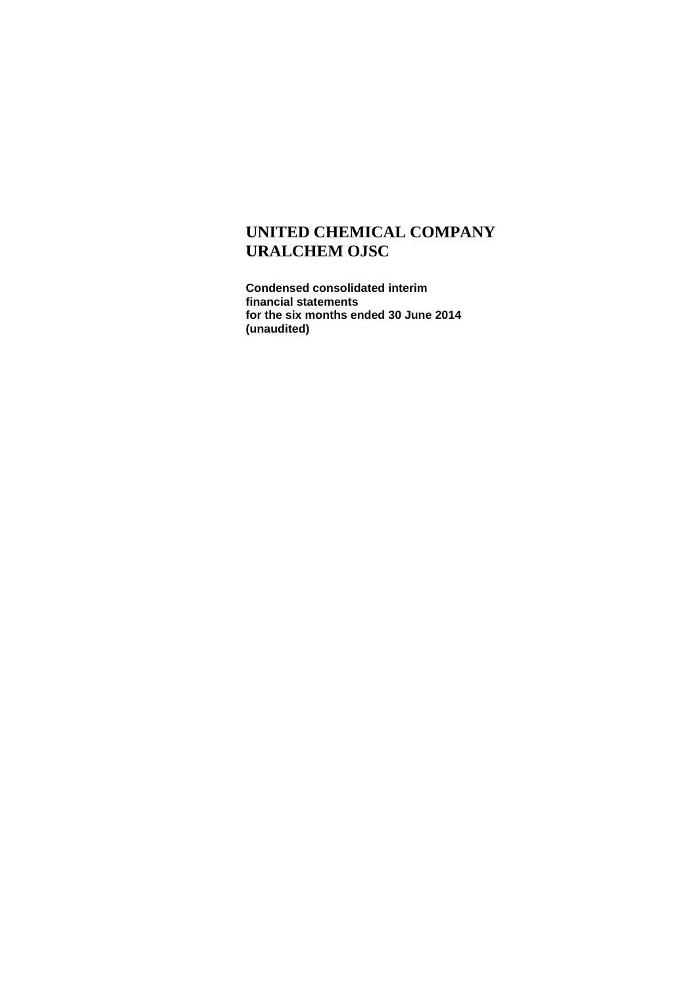**Condensed consolidated interim financial statements for the six months ended 30 June 2014 (unaudited)**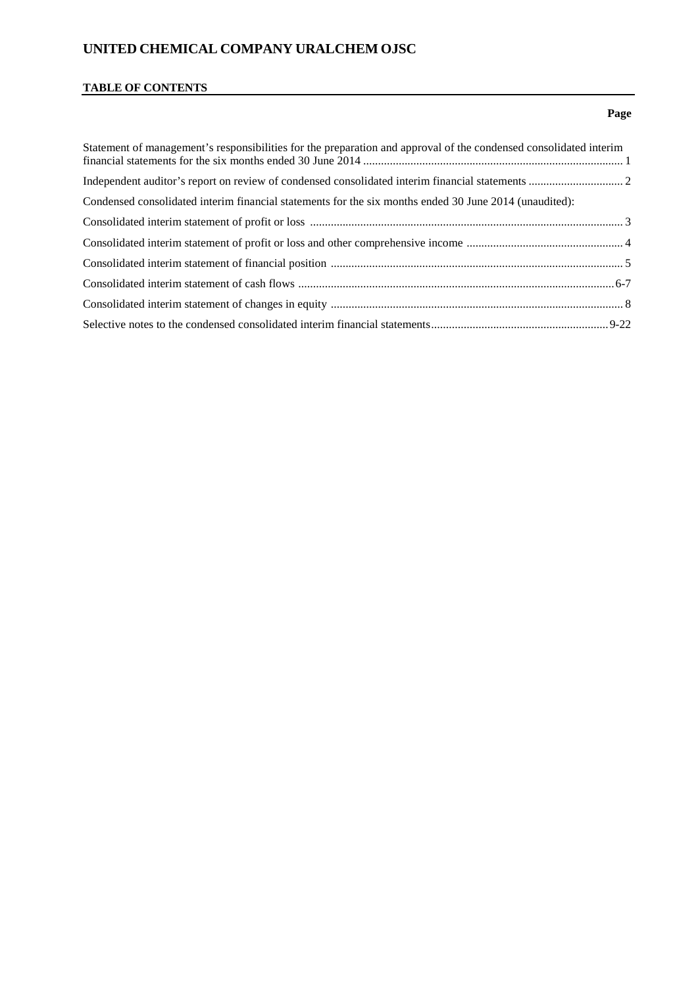#### **TABLE OF CONTENTS**

# Statement of management's responsibilities for the preparation and approval of the condensed consolidated interim financial statements for the six months ended 30 June 2014 ........................................................................................ 1 Independent auditor's report on review of condensed consolidated interim financial statements ................................ 2 Condensed consolidated interim financial statements for the six months ended 30 June 2014 (unaudited): Consolidated interim statement of profit or loss .......................................................................................................... 3 Consolidated interim statement of profit or loss and other comprehensive income ..................................................... 4 Consolidated interim statement of financial position ................................................................................................... 5 Consolidated interim statement of cash flows ...........................................................................................................6-7 Consolidated interim statement of changes in equity ................................................................................................... 8 Selective notes to the condensed consolidated interim financial statements............................................................9-22

#### **Page**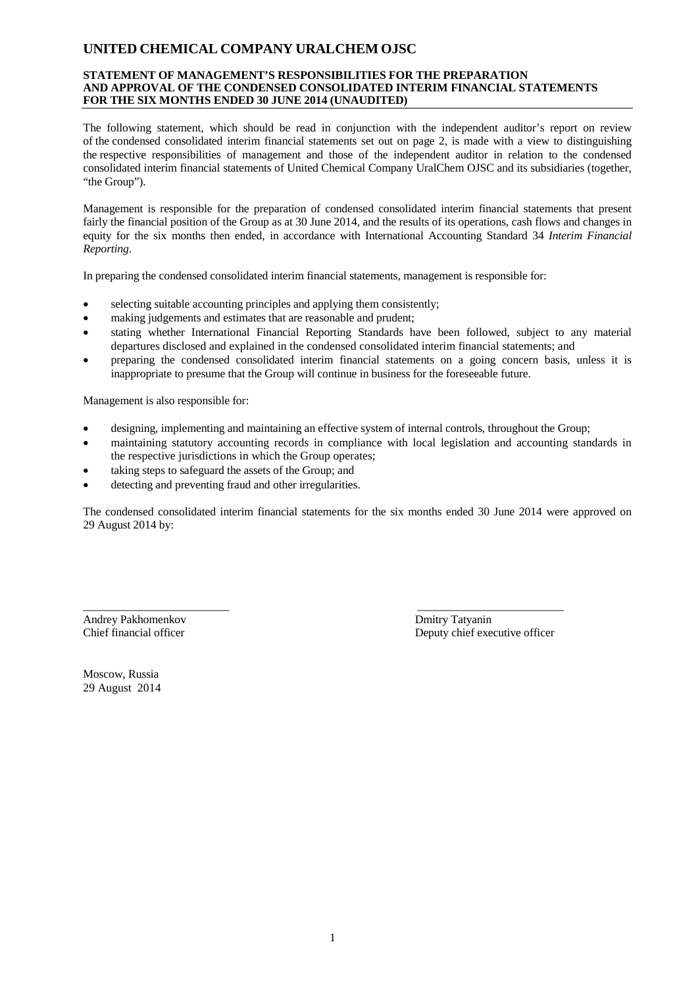#### **STATEMENT OF MANAGEMENT'S RESPONSIBILITIES FOR THE PREPARATION AND APPROVAL OF THE CONDENSED CONSOLIDATED INTERIM FINANCIAL STATEMENTS FOR THE SIX MONTHS ENDED 30 JUNE 2014 (UNAUDITED)**

The following statement, which should be read in conjunction with the independent auditor's report on review of the condensed consolidated interim financial statements set out on page 2, is made with a view to distinguishing the respective responsibilities of management and those of the independent auditor in relation to the condensed consolidated interim financial statements of United Chemical Company UralChem OJSC and its subsidiaries (together, "the Group").

Management is responsible for the preparation of condensed consolidated interim financial statements that present fairly the financial position of the Group as at 30 June 2014, and the results of its operations, cash flows and changes in equity for the six months then ended, in accordance with International Accounting Standard 34 *Interim Financial Reporting*.

In preparing the condensed consolidated interim financial statements, management is responsible for:

- selecting suitable accounting principles and applying them consistently;
- making judgements and estimates that are reasonable and prudent;
- stating whether International Financial Reporting Standards have been followed, subject to any material departures disclosed and explained in the condensed consolidated interim financial statements; and
- preparing the condensed consolidated interim financial statements on a going concern basis, unless it is inappropriate to presume that the Group will continue in business for the foreseeable future.

Management is also responsible for:

• designing, implementing and maintaining an effective system of internal controls, throughout the Group;

\_\_\_\_\_\_\_\_\_\_\_\_\_\_\_\_\_\_\_\_\_\_\_\_\_ \_\_\_\_\_\_\_\_\_\_\_\_\_\_\_\_\_\_\_\_\_\_\_\_\_

- maintaining statutory accounting records in compliance with local legislation and accounting standards in the respective jurisdictions in which the Group operates;
- taking steps to safeguard the assets of the Group; and
- detecting and preventing fraud and other irregularities.

The condensed consolidated interim financial statements for the six months ended 30 June 2014 were approved on 29 August 2014 by:

Andrey Pakhomenkov **Dmitry Tatyanin**<br>
Chief financial officer **Deputy Chief Exe** 

Deputy chief executive officer

Moscow, Russia 29 August 2014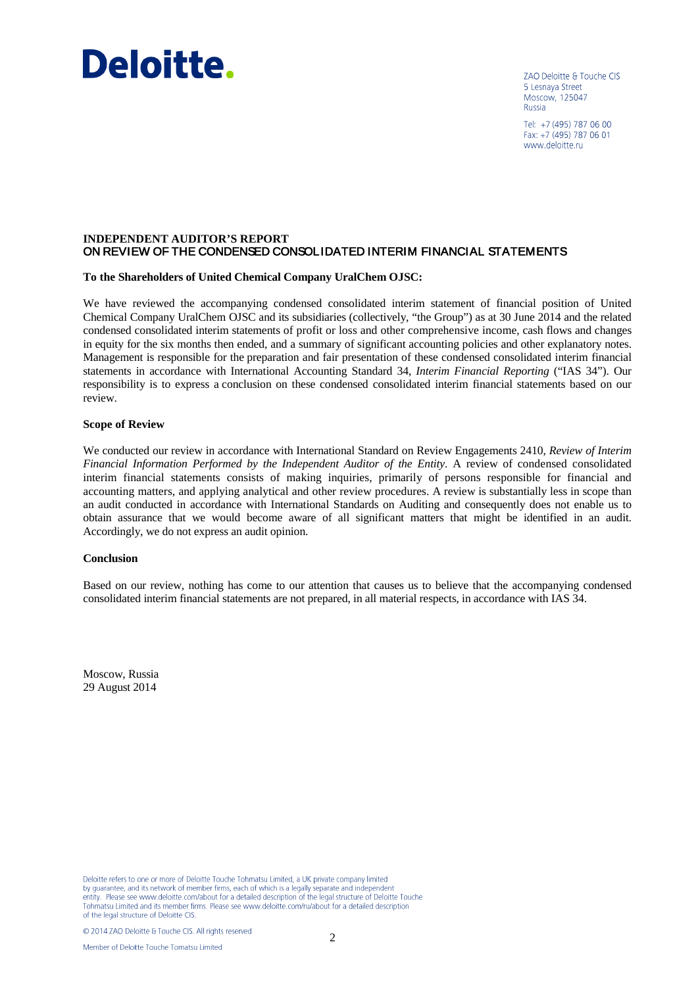# Deloitte.

ZAO Deloitte & Touche CIS 5 Lesnava Street Moscow, 125047 Russia

Tel: +7 (495) 787 06 00 Fax: +7 (495) 787 06 01 www.deloitte.ru

## **INDEPENDENT AUDITOR'S REPORT** ON REVIEW OF THE CONDENSED CONSOLIDATED INTERIM FINANCIAL STATEMENTS

#### **To the Shareholders of United Chemical Company UralChem OJSC:**

We have reviewed the accompanying condensed consolidated interim statement of financial position of United Chemical Company UralChem OJSC and its subsidiaries (collectively, "the Group") as at 30 June 2014 and the related condensed consolidated interim statements of profit or loss and other comprehensive income, cash flows and changes in equity for the six months then ended, and a summary of significant accounting policies and other explanatory notes. Management is responsible for the preparation and fair presentation of these condensed consolidated interim financial statements in accordance with International Accounting Standard 34, *Interim Financial Reporting* ("IAS 34"). Our responsibility is to express a conclusion on these condensed consolidated interim financial statements based on our review.

#### **Scope of Review**

We conducted our review in accordance with International Standard on Review Engagements 2410, *Review of Interim Financial Information Performed by the Independent Auditor of the Entity*. A review of condensed consolidated interim financial statements consists of making inquiries, primarily of persons responsible for financial and accounting matters, and applying analytical and other review procedures. A review is substantially less in scope than an audit conducted in accordance with International Standards on Auditing and consequently does not enable us to obtain assurance that we would become aware of all significant matters that might be identified in an audit. Accordingly, we do not express an audit opinion.

#### **Conclusion**

Based on our review, nothing has come to our attention that causes us to believe that the accompanying condensed consolidated interim financial statements are not prepared, in all material respects, in accordance with IAS 34.

Moscow, Russia 29 August 2014

Deloitte refers to one or more of Deloitte Touche Tohmatsu Limited, a UK private company limited but graduate refers to one or inview of member firms, each of which is a legally separate and independent<br>entity. Please see www.deloitte.com/about for a detailed description of the legal structure of Deloitte Touche Tohmatsu Limited and its member firms. Please see www.deloitte.com/ru/about for a detailed description of the legal structure of Deloitte CIS

© 2014 ZAO Deloitte & Touche CIS. All rights reserved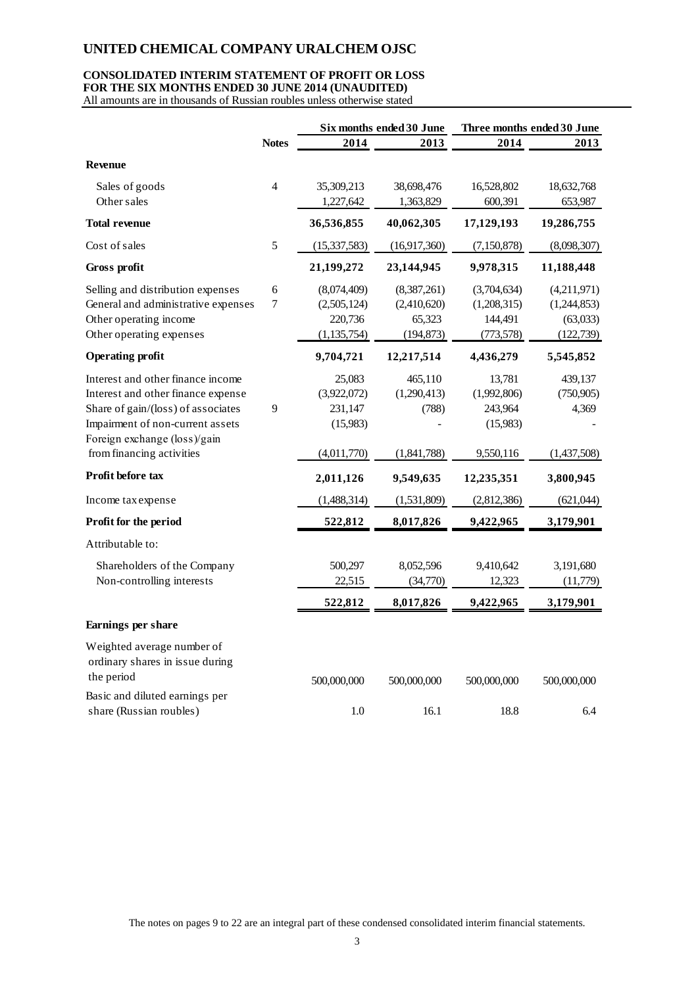## **CONSOLIDATED INTERIM STATEMENT OF PROFIT OR LOSS FOR THE SIX MONTHS ENDED 30 JUNE 2014 (UNAUDITED)**

All amounts are in thousands of Russian roubles unless otherwise stated

|                                                           |                | Six months ended 30 June |              | Three months ended 30 June |             |  |
|-----------------------------------------------------------|----------------|--------------------------|--------------|----------------------------|-------------|--|
|                                                           | <b>Notes</b>   | 2014                     | 2013         | 2014                       | 2013        |  |
| <b>Revenue</b>                                            |                |                          |              |                            |             |  |
| Sales of goods                                            | $\overline{4}$ | 35,309,213               | 38,698,476   | 16,528,802                 | 18,632,768  |  |
| Other sales                                               |                | 1,227,642                | 1,363,829    | 600,391                    | 653,987     |  |
| <b>Total revenue</b>                                      |                | 36,536,855               | 40,062,305   | 17,129,193                 | 19,286,755  |  |
| Cost of sales                                             | 5              | (15, 337, 583)           | (16,917,360) | (7,150,878)                | (8,098,307) |  |
| Gross profit                                              |                | 21,199,272               | 23,144,945   | 9,978,315                  | 11,188,448  |  |
| Selling and distribution expenses                         | 6              | (8,074,409)              | (8,387,261)  | (3,704,634)                | (4,211,971) |  |
| General and administrative expenses                       | 7              | (2,505,124)              | (2,410,620)  | (1,208,315)                | (1,244,853) |  |
| Other operating income                                    |                | 220,736                  | 65,323       | 144,491                    | (63,033)    |  |
| Other operating expenses                                  |                | (1, 135, 754)            | (194, 873)   | (773, 578)                 | (122, 739)  |  |
| <b>Operating profit</b>                                   |                | 9,704,721                | 12,217,514   | 4,436,279                  | 5,545,852   |  |
| Interest and other finance income                         |                | 25,083                   | 465,110      | 13,781                     | 439,137     |  |
| Interest and other finance expense                        |                | (3,922,072)              | (1,290,413)  | (1,992,806)                | (750, 905)  |  |
| Share of gain/(loss) of associates                        | 9              | 231,147                  | (788)        | 243,964                    | 4,369       |  |
| Impairment of non-current assets                          |                | (15,983)                 |              | (15,983)                   |             |  |
| Foreign exchange (loss)/gain<br>from financing activities |                | (4,011,770)              | (1,841,788)  | 9,550,116                  | (1,437,508) |  |
| Profit before tax                                         |                |                          |              |                            |             |  |
|                                                           |                | 2,011,126                | 9,549,635    | 12,235,351                 | 3,800,945   |  |
| Income tax expense                                        |                | (1,488,314)              | (1,531,809)  | (2,812,386)                | (621,044)   |  |
| Profit for the period                                     |                | 522,812                  | 8,017,826    | 9,422,965                  | 3,179,901   |  |
| Attributable to:                                          |                |                          |              |                            |             |  |
| Shareholders of the Company                               |                | 500,297                  | 8,052,596    | 9,410,642                  | 3,191,680   |  |
| Non-controlling interests                                 |                | 22,515                   | (34,770)     | 12,323                     | (11,779)    |  |
|                                                           |                | 522,812                  | 8,017,826    | 9,422,965                  | 3,179,901   |  |
| Earnings per share                                        |                |                          |              |                            |             |  |
| Weighted average number of                                |                |                          |              |                            |             |  |
| ordinary shares in issue during                           |                |                          |              |                            |             |  |
| the period                                                |                | 500,000,000              | 500,000,000  | 500,000,000                | 500,000,000 |  |
| Basic and diluted earnings per                            |                |                          |              |                            |             |  |
| share (Russian roubles)                                   |                | 1.0                      | 16.1         | 18.8                       | 6.4         |  |

The notes on pages 9 to 22 are an integral part of these condensed consolidated interim financial statements.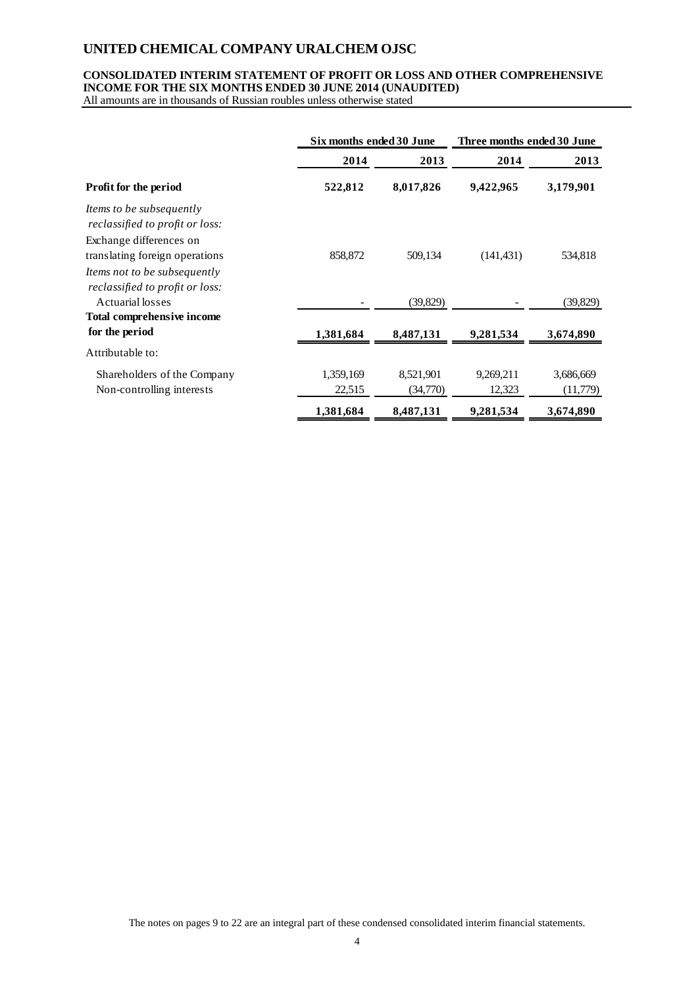## **CONSOLIDATED INTERIM STATEMENT OF PROFIT OR LOSS AND OTHER COMPREHENSIVE INCOME FOR THE SIX MONTHS ENDED 30 JUNE 2014 (UNAUDITED)**

All amounts are in thousands of Russian roubles unless otherwise stated

|                                                                    |           | Six months ended 30 June |            | Three months ended 30 June |
|--------------------------------------------------------------------|-----------|--------------------------|------------|----------------------------|
|                                                                    | 2014      | 2013                     | 2014       | 2013                       |
| <b>Profit for the period</b>                                       | 522,812   | 8,017,826                | 9,422,965  | 3,179,901                  |
| <i>Items to be subsequently</i><br>reclassified to profit or loss: |           |                          |            |                            |
| Exchange differences on                                            |           |                          |            |                            |
| translating foreign operations                                     | 858,872   | 509,134                  | (141, 431) | 534,818                    |
| Items not to be subsequently<br>reclassified to profit or loss:    |           |                          |            |                            |
| Actuarial losses                                                   |           | (39, 829)                |            | (39, 829)                  |
| <b>Total comprehensive income</b>                                  |           |                          |            |                            |
| for the period                                                     | 1,381,684 | 8,487,131                | 9,281,534  | 3,674,890                  |
| Attributable to:                                                   |           |                          |            |                            |
| Shareholders of the Company                                        | 1,359,169 | 8,521,901                | 9,269,211  | 3,686,669                  |
| Non-controlling interests                                          | 22,515    | (34,770)                 | 12,323     | (11,779)                   |
|                                                                    | 1,381,684 | 8,487,131                | 9,281,534  | 3,674,890                  |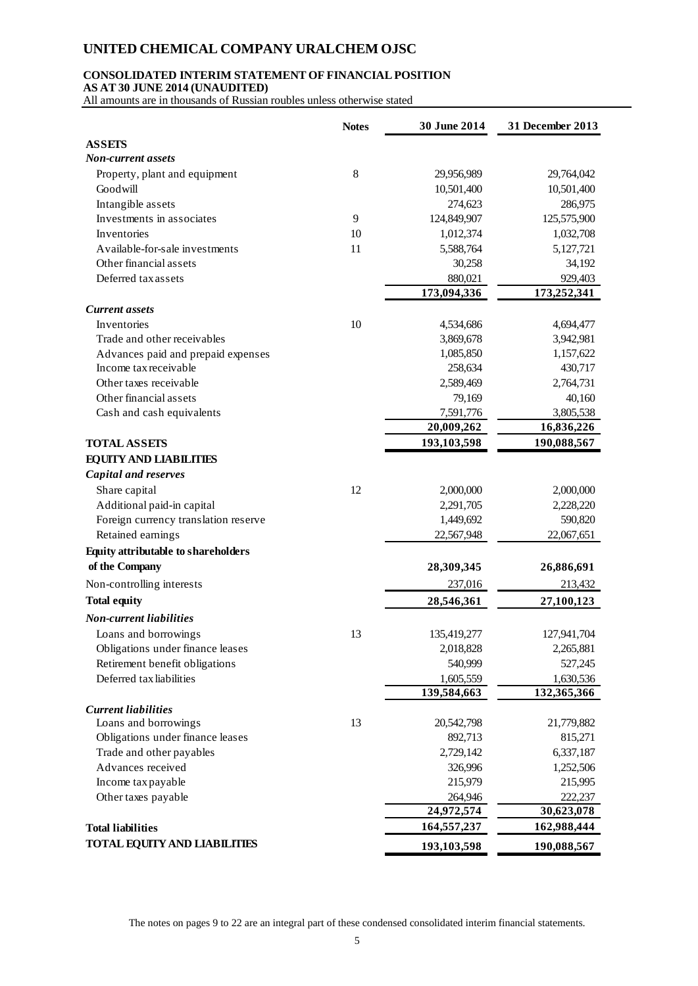## **CONSOLIDATED INTERIM STATEMENT OF FINANCIAL POSITION**

**AS AT 30 JUNE 2014 (UNAUDITED)**

All amounts are in thousands of Russian roubles unless otherwise stated

|                                      | <b>Notes</b> | 30 June 2014 | 31 December 2013 |
|--------------------------------------|--------------|--------------|------------------|
| <b>ASSETS</b>                        |              |              |                  |
| Non-current assets                   |              |              |                  |
| Property, plant and equipment        | 8            | 29,956,989   | 29,764,042       |
| Goodwill                             |              | 10,501,400   | 10,501,400       |
| Intangible assets                    |              | 274,623      | 286,975          |
| Investments in associates            | 9            | 124,849,907  | 125,575,900      |
| Inventories                          | 10           | 1,012,374    | 1,032,708        |
| Available-for-sale investments       | 11           | 5,588,764    | 5,127,721        |
| Other financial assets               |              | 30,258       | 34,192           |
| Deferred tax assets                  |              | 880,021      | 929,403          |
|                                      |              | 173,094,336  | 173,252,341      |
| <b>Current</b> assets                |              |              |                  |
| Inventories                          | 10           | 4,534,686    | 4,694,477        |
| Trade and other receivables          |              | 3,869,678    | 3,942,981        |
| Advances paid and prepaid expenses   |              | 1,085,850    | 1,157,622        |
| Income tax receivable                |              | 258,634      | 430,717          |
| Other taxes receivable               |              | 2,589,469    | 2,764,731        |
| Other financial assets               |              | 79,169       | 40,160           |
| Cash and cash equivalents            |              | 7,591,776    | 3,805,538        |
|                                      |              | 20,009,262   | 16,836,226       |
| <b>TOTAL ASSETS</b>                  |              | 193,103,598  | 190,088,567      |
| <b>EQUITY AND LIABILITIES</b>        |              |              |                  |
| <b>Capital and reserves</b>          |              |              |                  |
| Share capital                        | 12           | 2,000,000    | 2,000,000        |
| Additional paid-in capital           |              | 2,291,705    | 2,228,220        |
| Foreign currency translation reserve |              | 1,449,692    | 590,820          |
| Retained earnings                    |              | 22,567,948   | 22,067,651       |
| Equity attributable to shareholders  |              |              |                  |
| of the Company                       |              | 28,309,345   | 26,886,691       |
|                                      |              |              |                  |
| Non-controlling interests            |              | 237,016      | 213,432          |
| <b>Total equity</b>                  |              | 28,546,361   | 27,100,123       |
| <b>Non-current liabilities</b>       |              |              |                  |
| Loans and borrowings                 | 13           | 135,419,277  | 127,941,704      |
| Obligations under finance leases     |              | 2,018,828    | 2,265,881        |
| Retirement benefit obligations       |              | 540,999      | 527,245          |
| Deferred tax liabilities             |              | 1,605,559    | 1,630,536        |
|                                      |              | 139,584,663  | 132,365,366      |
| <b>Current liabilities</b>           |              |              |                  |
| Loans and borrowings                 | 13           | 20,542,798   | 21,779,882       |
| Obligations under finance leases     |              | 892,713      | 815,271          |
| Trade and other payables             |              | 2,729,142    | 6,337,187        |
| Advances received                    |              | 326,996      | 1,252,506        |
| Income tax payable                   |              | 215,979      | 215,995          |
| Other taxes payable                  |              | 264,946      | 222,237          |
|                                      |              | 24,972,574   | 30,623,078       |
| <b>Total liabilities</b>             |              | 164,557,237  | 162,988,444      |
| <b>TOTAL EQUITY AND LIABILITIES</b>  |              | 193,103,598  | 190,088,567      |

The notes on pages 9 to 22 are an integral part of these condensed consolidated interim financial statements.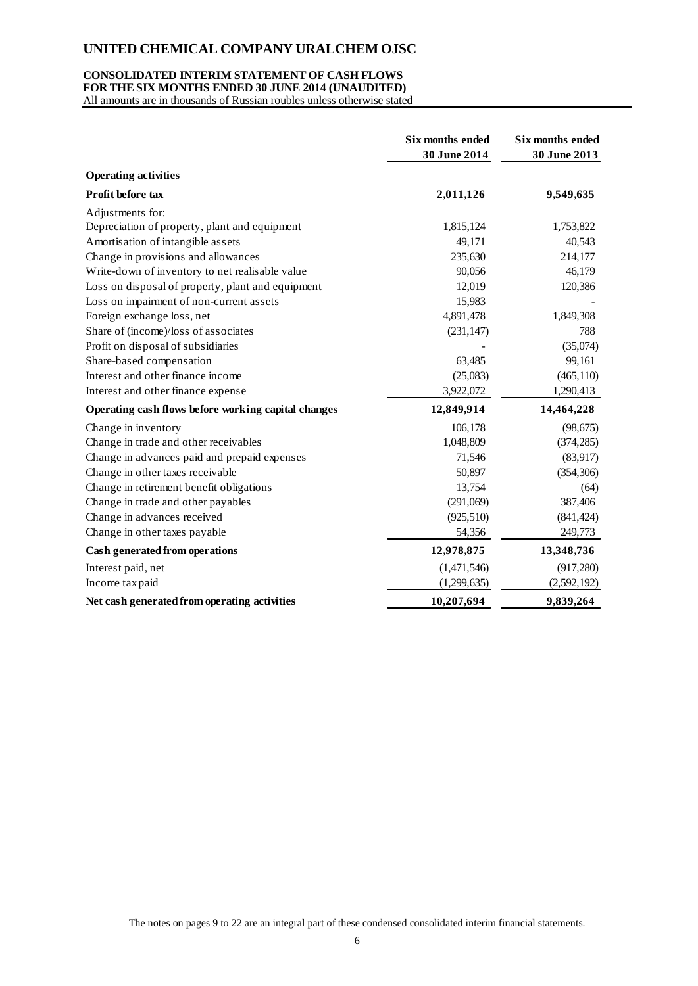#### **CONSOLIDATED INTERIM STATEMENT OF CASH FLOWS FOR THE SIX MONTHS ENDED 30 JUNE 2014 (UNAUDITED)**

All amounts are in thousands of Russian roubles unless otherwise stated

|                                                     | <b>Six months ended</b><br>30 June 2014 | Six months ended<br>30 June 2013 |
|-----------------------------------------------------|-----------------------------------------|----------------------------------|
| <b>Operating activities</b>                         |                                         |                                  |
| <b>Profit before tax</b>                            | 2,011,126                               | 9,549,635                        |
| Adjustments for:                                    |                                         |                                  |
| Depreciation of property, plant and equipment       | 1,815,124                               | 1,753,822                        |
| Amortisation of intangible assets                   | 49,171                                  | 40,543                           |
| Change in provisions and allowances                 | 235,630                                 | 214,177                          |
| Write-down of inventory to net realisable value     | 90,056                                  | 46,179                           |
| Loss on disposal of property, plant and equipment   | 12,019                                  | 120,386                          |
| Loss on impairment of non-current assets            | 15,983                                  |                                  |
| Foreign exchange loss, net                          | 4,891,478                               | 1,849,308                        |
| Share of (income)/loss of associates                | (231, 147)                              | 788                              |
| Profit on disposal of subsidiaries                  |                                         | (35,074)                         |
| Share-based compensation                            | 63,485                                  | 99,161                           |
| Interest and other finance income                   | (25,083)                                | (465, 110)                       |
| Interest and other finance expense                  | 3,922,072                               | 1,290,413                        |
| Operating cash flows before working capital changes | 12,849,914                              | 14,464,228                       |
| Change in inventory                                 | 106,178                                 | (98, 675)                        |
| Change in trade and other receivables               | 1,048,809                               | (374, 285)                       |
| Change in advances paid and prepaid expenses        | 71,546                                  | (83,917)                         |
| Change in other taxes receivable                    | 50,897                                  | (354, 306)                       |
| Change in retirement benefit obligations            | 13,754                                  | (64)                             |
| Change in trade and other payables                  | (291,069)                               | 387,406                          |
| Change in advances received                         | (925, 510)                              | (841, 424)                       |
| Change in other taxes payable                       | 54,356                                  | 249,773                          |
| Cash generated from operations                      | 12,978,875                              | 13,348,736                       |
| Interest paid, net                                  | (1,471,546)                             | (917, 280)                       |
| Income tax paid                                     | (1,299,635)                             | (2,592,192)                      |
| Net cash generated from operating activities        | 10,207,694                              | 9,839,264                        |

The notes on pages 9 to 22 are an integral part of these condensed consolidated interim financial statements.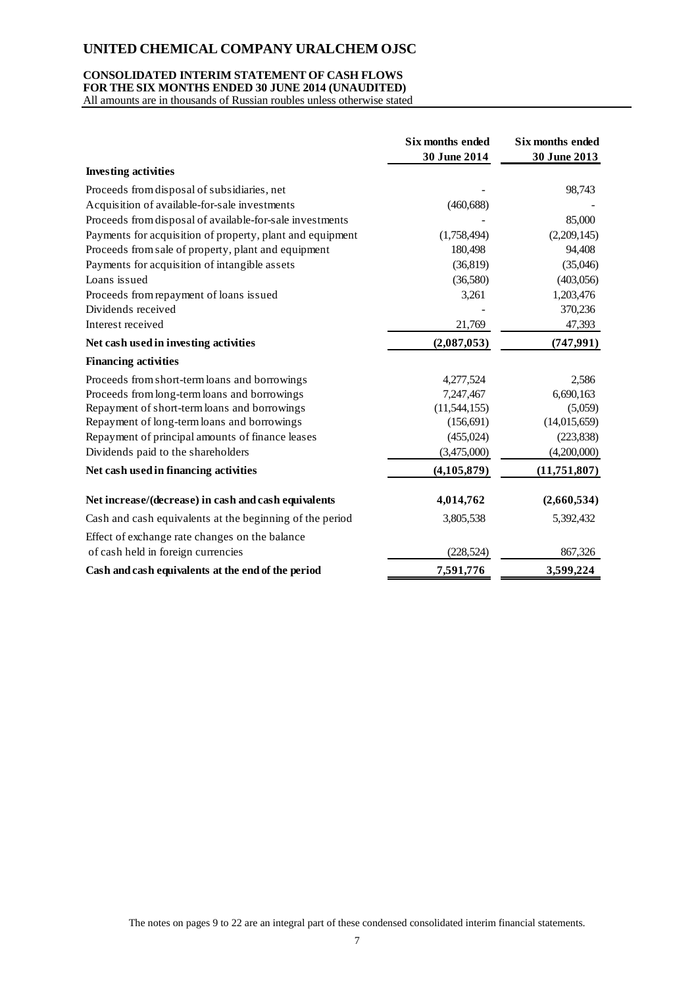## **CONSOLIDATED INTERIM STATEMENT OF CASH FLOWS**

**FOR THE SIX MONTHS ENDED 30 JUNE 2014 (UNAUDITED)** All amounts are in thousands of Russian roubles unless otherwise stated

|                                                           | Six months ended<br>30 June 2014 | Six months ended<br>30 June 2013 |
|-----------------------------------------------------------|----------------------------------|----------------------------------|
| <b>Investing activities</b>                               |                                  |                                  |
| Proceeds from disposal of subsidiaries, net               |                                  | 98,743                           |
| Acquisition of available-for-sale investments             | (460, 688)                       |                                  |
| Proceeds from disposal of available-for-sale investments  |                                  | 85,000                           |
| Payments for acquisition of property, plant and equipment | (1,758,494)                      | (2,209,145)                      |
| Proceeds from sale of property, plant and equipment       | 180,498                          | 94,408                           |
| Payments for acquisition of intangible assets             | (36, 819)                        | (35,046)                         |
| Loans issued                                              | (36,580)                         | (403, 056)                       |
| Proceeds from repayment of loans issued                   | 3,261                            | 1,203,476                        |
| Dividends received                                        |                                  | 370,236                          |
| Interest received                                         | 21,769                           | 47,393                           |
| Net cash used in investing activities                     | (2,087,053)                      | (747, 991)                       |
| <b>Financing activities</b>                               |                                  |                                  |
| Proceeds from short-term loans and borrowings             | 4,277,524                        | 2.586                            |
| Proceeds from long-term loans and borrowings              | 7,247,467                        | 6,690,163                        |
| Repayment of short-term loans and borrowings              | (11, 544, 155)                   | (5,059)                          |
| Repayment of long-term loans and borrowings               | (156, 691)                       | (14,015,659)                     |
| Repayment of principal amounts of finance leases          | (455, 024)                       | (223, 838)                       |
| Dividends paid to the shareholders                        | (3,475,000)                      | (4,200,000)                      |
| Net cash used in financing activities                     | (4, 105, 879)                    | (11,751,807)                     |
| Net increase/(decrease) in cash and cash equivalents      | 4,014,762                        | (2,660,534)                      |
| Cash and cash equivalents at the beginning of the period  | 3,805,538                        | 5,392,432                        |
| Effect of exchange rate changes on the balance            |                                  |                                  |
| of cash held in foreign currencies                        | (228, 524)                       | 867,326                          |
| Cash and cash equivalents at the end of the period        | 7,591,776                        | 3,599,224                        |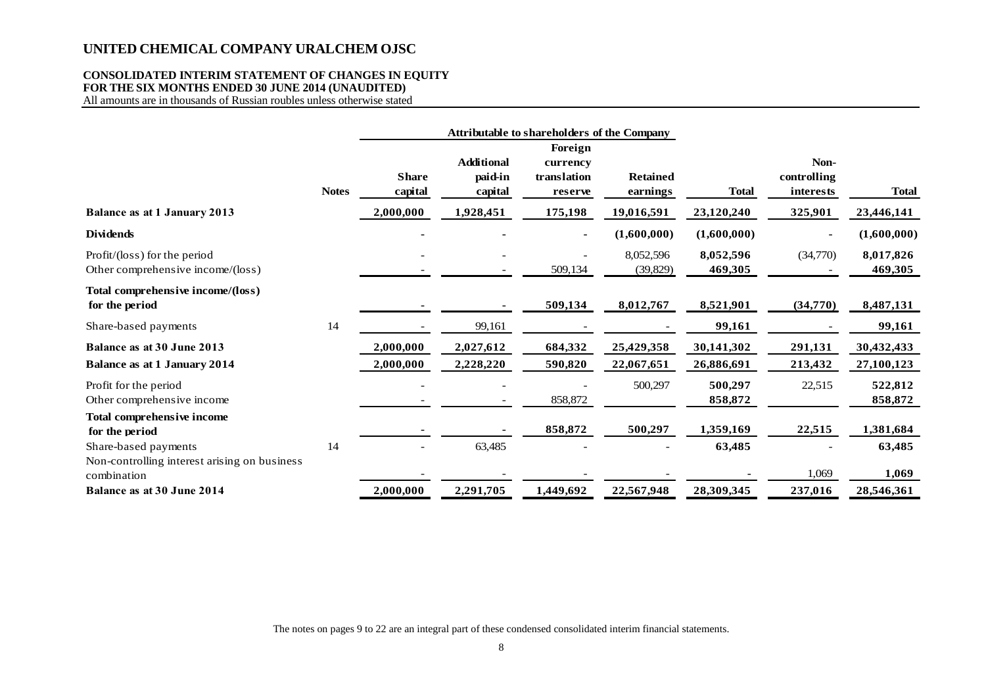## **CONSOLIDATED INTERIM STATEMENT OF CHANGES IN EQUITY FOR THE SIX MONTHS ENDED 30 JUNE 2014 (UNAUDITED)**

All amounts are in thousands of Russian roubles unless otherwise stated

|                                                                   |              | <b>Attributable to shareholders of the Company</b> |                                         |                                               |                             |                      |                                  |                      |
|-------------------------------------------------------------------|--------------|----------------------------------------------------|-----------------------------------------|-----------------------------------------------|-----------------------------|----------------------|----------------------------------|----------------------|
|                                                                   | <b>Notes</b> | <b>Share</b><br>capital                            | <b>Additional</b><br>paid-in<br>capital | Foreign<br>currency<br>translation<br>reserve | <b>Retained</b><br>earnings | <b>Total</b>         | Non-<br>controlling<br>interests | <b>Total</b>         |
| <b>Balance as at 1 January 2013</b>                               |              | 000,000,2                                          | 1,928,451                               | 175,198                                       | 19,016,591                  | 23,120,240           | 325,901                          | 23,446,141           |
| <b>Dividends</b>                                                  |              |                                                    |                                         |                                               | (1,600,000)                 | (1,600,000)          |                                  | (1,600,000)          |
| Profit/(loss) for the period<br>Other comprehensive income/(loss) |              |                                                    |                                         | 509,134                                       | 8,052,596<br>(39, 829)      | 8,052,596<br>469,305 | (34,770)                         | 8,017,826<br>469,305 |
| Total comprehensive income/(loss)<br>for the period               |              |                                                    |                                         | 509,134                                       | 8,012,767                   | 8,521,901            | (34,770)                         | 8,487,131            |
| Share-based payments                                              | 14           |                                                    | 99,161                                  |                                               |                             | 99,161               |                                  | 99,161               |
| Balance as at 30 June 2013                                        |              | 2,000,000                                          | 2,027,612                               | 684,332                                       | 25,429,358                  | 30,141,302           | 291,131                          | 30,432,433           |
| <b>Balance as at 1 January 2014</b>                               |              | 2,000,000                                          | 2,228,220                               | 590,820                                       | 22,067,651                  | 26,886,691           | 213,432                          | 27,100,123           |
| Profit for the period<br>Other comprehensive income               |              |                                                    |                                         | 858,872                                       | 500,297                     | 500,297<br>858,872   | 22,515                           | 522,812<br>858,872   |
| Total comprehensive income<br>for the period                      |              |                                                    |                                         | 858,872                                       | 500,297                     | 1,359,169            | 22,515                           | 1,381,684            |
| Share-based payments                                              | 14           |                                                    | 63,485                                  |                                               |                             | 63,485               |                                  | 63,485               |
| Non-controlling interest arising on business<br>combination       |              |                                                    |                                         |                                               |                             |                      | 1,069                            | 1,069                |
| Balance as at 30 June 2014                                        |              | 2,000,000                                          | 2,291,705                               | 1,449,692                                     | 22,567,948                  | 28,309,345           | 237,016                          | 28,546,361           |

The notes on pages 9 to 22 are an integral part of these condensed consolidated interim financial statements.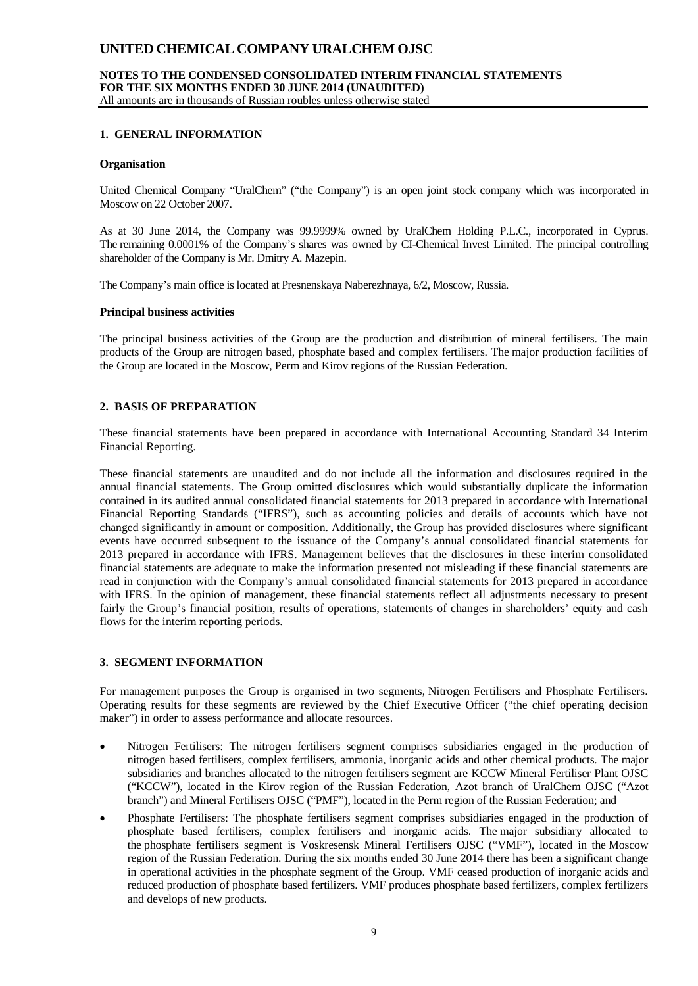#### **NOTES TO THE CONDENSED CONSOLIDATED INTERIM FINANCIAL STATEMENTS FOR THE SIX MONTHS ENDED 30 JUNE 2014 (UNAUDITED)** All amounts are in thousands of Russian roubles unless otherwise stated

## **1. GENERAL INFORMATION**

#### **Organisation**

United Chemical Company "UralChem" ("the Company") is an open joint stock company which was incorporated in Moscow on 22 October 2007.

As at 30 June 2014, the Company was 99.9999% owned by UralChem Holding P.L.C., incorporated in Cyprus. The remaining 0.0001% of the Company's shares was owned by CI-Chemical Invest Limited. The principal controlling shareholder of the Company is Mr. Dmitry A. Mazepin.

The Company's main office is located at Presnenskaya Naberezhnaya, 6/2, Moscow, Russia.

#### **Principal business activities**

The principal business activities of the Group are the production and distribution of mineral fertilisers. The main products of the Group are nitrogen based, phosphate based and complex fertilisers. The major production facilities of the Group are located in the Moscow, Perm and Kirov regions of the Russian Federation.

## **2. BASIS OF PREPARATION**

These financial statements have been prepared in accordance with International Accounting Standard 34 Interim Financial Reporting.

These financial statements are unaudited and do not include all the information and disclosures required in the annual financial statements. The Group omitted disclosures which would substantially duplicate the information contained in its audited annual consolidated financial statements for 2013 prepared in accordance with International Financial Reporting Standards ("IFRS"), such as accounting policies and details of accounts which have not changed significantly in amount or composition. Additionally, the Group has provided disclosures where significant events have occurred subsequent to the issuance of the Company's annual consolidated financial statements for 2013 prepared in accordance with IFRS. Management believes that the disclosures in these interim consolidated financial statements are adequate to make the information presented not misleading if these financial statements are read in conjunction with the Company's annual consolidated financial statements for 2013 prepared in accordance with IFRS. In the opinion of management, these financial statements reflect all adjustments necessary to present fairly the Group's financial position, results of operations, statements of changes in shareholders' equity and cash flows for the interim reporting periods.

## **3. SEGMENT INFORMATION**

For management purposes the Group is organised in two segments, Nitrogen Fertilisers and Phosphate Fertilisers. Operating results for these segments are reviewed by the Chief Executive Officer ("the chief operating decision maker") in order to assess performance and allocate resources.

- Nitrogen Fertilisers: The nitrogen fertilisers segment comprises subsidiaries engaged in the production of nitrogen based fertilisers, complex fertilisers, ammonia, inorganic acids and other chemical products. The major subsidiaries and branches allocated to the nitrogen fertilisers segment are KCCW Mineral Fertiliser Plant OJSC ("KCCW"), located in the Kirov region of the Russian Federation, Azot branch of UralChem OJSC ("Azot branch") and Mineral Fertilisers OJSC ("PMF"), located in the Perm region of the Russian Federation; and
- Phosphate Fertilisers: The phosphate fertilisers segment comprises subsidiaries engaged in the production of phosphate based fertilisers, complex fertilisers and inorganic acids. The major subsidiary allocated to the phosphate fertilisers segment is Voskresensk Mineral Fertilisers OJSC ("VMF"), located in the Moscow region of the Russian Federation. During the six months ended 30 June 2014 there has been a significant change in operational activities in the phosphate segment of the Group. VMF ceased production of inorganic acids and reduced production of phosphate based fertilizers. VMF produces phosphate based fertilizers, complex fertilizers and develops of new products.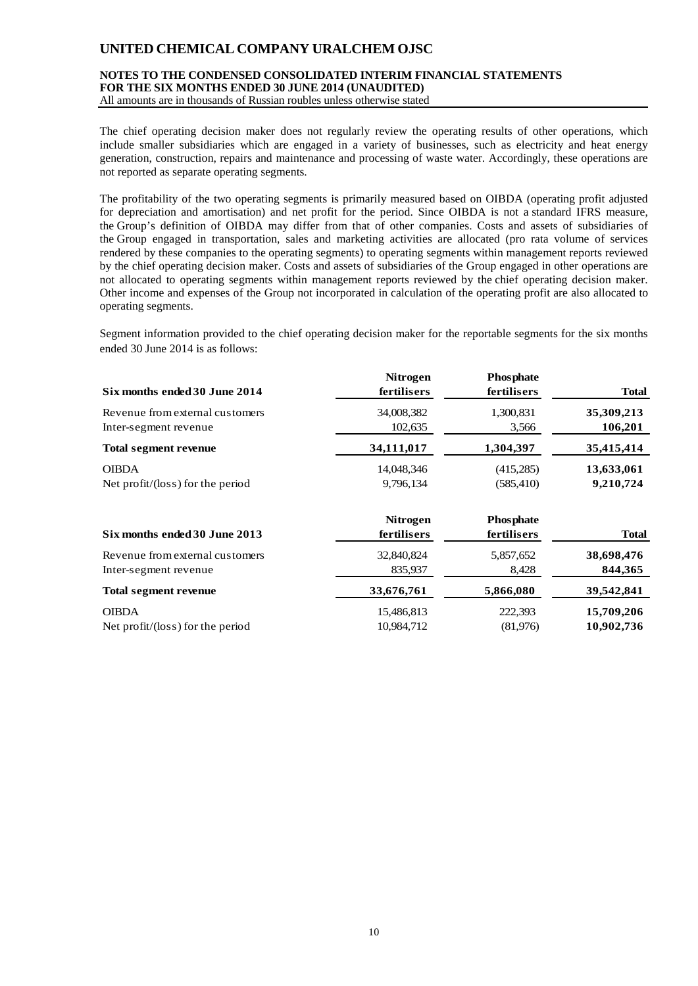## **NOTES TO THE CONDENSED CONSOLIDATED INTERIM FINANCIAL STATEMENTS FOR THE SIX MONTHS ENDED 30 JUNE 2014 (UNAUDITED)**

All amounts are in thousands of Russian roubles unless otherwise stated

The chief operating decision maker does not regularly review the operating results of other operations, which include smaller subsidiaries which are engaged in a variety of businesses, such as electricity and heat energy generation, construction, repairs and maintenance and processing of waste water. Accordingly, these operations are not reported as separate operating segments.

The profitability of the two operating segments is primarily measured based on OIBDA (operating profit adjusted for depreciation and amortisation) and net profit for the period. Since OIBDA is not a standard IFRS measure, the Group's definition of OIBDA may differ from that of other companies. Costs and assets of subsidiaries of the Group engaged in transportation, sales and marketing activities are allocated (pro rata volume of services rendered by these companies to the operating segments) to operating segments within management reports reviewed by the chief operating decision maker. Costs and assets of subsidiaries of the Group engaged in other operations are not allocated to operating segments within management reports reviewed by the chief operating decision maker. Other income and expenses of the Group not incorporated in calculation of the operating profit are also allocated to operating segments.

Segment information provided to the chief operating decision maker for the reportable segments for the six months ended 30 June 2014 is as follows:

| Six months ended 30 June 2014              | <b>Nitrogen</b><br>fertilisers | <b>Phosphate</b><br>fertilisers | <b>Total</b> |
|--------------------------------------------|--------------------------------|---------------------------------|--------------|
| Revenue from external customers            | 34,008,382                     | 1,300,831                       | 35,309,213   |
| Inter-segment revenue                      | 102,635                        | 3,566                           | 106,201      |
| <b>Total segment revenue</b>               | 34,111,017                     | 1,304,397                       | 35,415,414   |
| <b>OIBDA</b>                               | 14,048,346                     | (415,285)                       | 13,633,061   |
| Net profit/ $(\text{loss})$ for the period | 9,796,134                      | (585, 410)                      | 9,210,724    |
| Six months ended 30 June 2013              | <b>Nitrogen</b><br>fertilisers | <b>Phosphate</b><br>fertilisers | Total        |
| Revenue from external customers            | 32,840,824                     | 5,857,652                       | 38,698,476   |
| Inter-segment revenue                      | 835,937                        | 8,428                           | 844, 365     |
| <b>Total segment revenue</b>               | 33,676,761                     | 5,866,080                       | 39,542,841   |
| <b>OIBDA</b>                               | 15,486,813                     | 222,393                         | 15,709,206   |
| Net profit/ $(\text{loss})$ for the period | 10,984,712                     | (81,976)                        | 10,902,736   |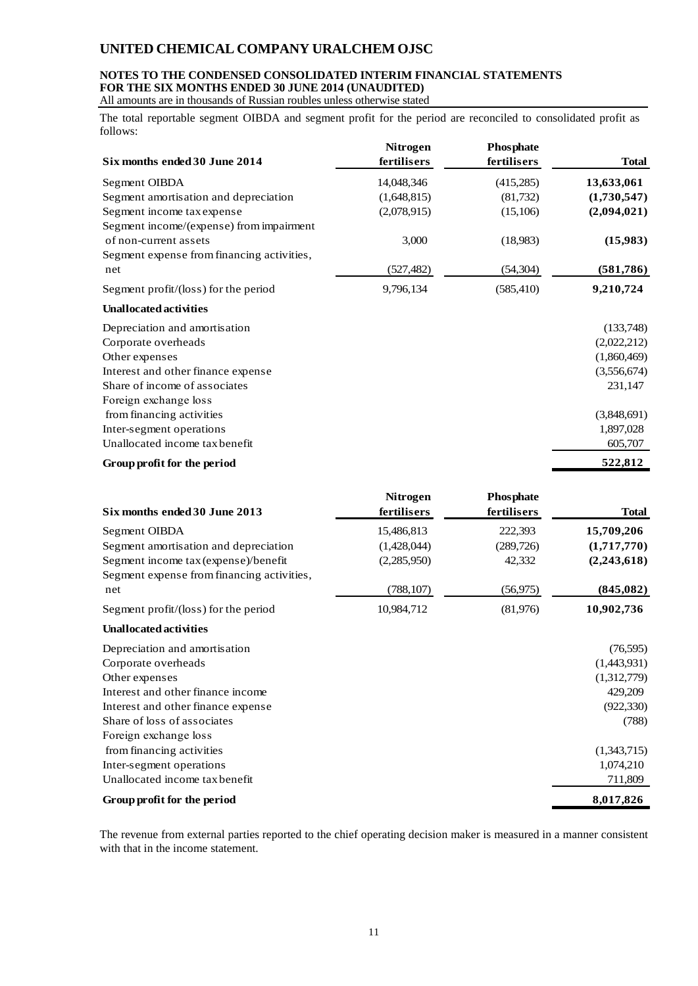## **NOTES TO THE CONDENSED CONSOLIDATED INTERIM FINANCIAL STATEMENTS FOR THE SIX MONTHS ENDED 30 JUNE 2014 (UNAUDITED)**

All amounts are in thousands of Russian roubles unless otherwise stated

The total reportable segment OIBDA and segment profit for the period are reconciled to consolidated profit as follows:

| Six months ended 30 June 2014                  | <b>Nitrogen</b><br>fertilisers | <b>Phosphate</b><br>fertilisers | <b>Total</b> |
|------------------------------------------------|--------------------------------|---------------------------------|--------------|
| Segment OIBDA                                  | 14,048,346                     | (415,285)                       | 13,633,061   |
| Segment amortisation and depreciation          | (1,648,815)                    | (81, 732)                       | (1,730,547)  |
| Segment income tax expense                     | (2,078,915)                    | (15,106)                        | (2,094,021)  |
| Segment income/(expense) from impairment       |                                |                                 |              |
| of non-current assets                          | 3,000                          | (18,983)                        | (15,983)     |
| Segment expense from financing activities,     |                                |                                 |              |
| net                                            | (527, 482)                     | (54, 304)                       | (581, 786)   |
| Segment profit/ $(\text{loss})$ for the period | 9,796,134                      | (585, 410)                      | 9,210,724    |
| <b>Unallocated activities</b>                  |                                |                                 |              |
| Depreciation and amortisation                  |                                |                                 | (133,748)    |
| Corporate overheads                            |                                |                                 | (2,022,212)  |
| Other expenses                                 |                                |                                 | (1,860,469)  |
| Interest and other finance expense             |                                |                                 | (3,556,674)  |
| Share of income of associates                  |                                |                                 | 231,147      |
| Foreign exchange loss                          |                                |                                 |              |
| from financing activities                      |                                |                                 | (3,848,691)  |
| Inter-segment operations                       |                                |                                 | 1,897,028    |
| Unallocated income tax benefit                 |                                |                                 | 605,707      |
| Group profit for the period                    |                                |                                 | 522,812      |

| Six months ended 30 June 2013              | <b>Nitrogen</b><br>fertilisers | <b>Phosphate</b><br>fertilisers | <b>Total</b> |
|--------------------------------------------|--------------------------------|---------------------------------|--------------|
| Segment OIBDA                              | 15,486,813                     | 222,393                         | 15,709,206   |
| Segment amortisation and depreciation      | (1,428,044)                    | (289, 726)                      | (1,717,770)  |
| Segment income tax (expense)/benefit       | (2,285,950)                    | 42,332                          | (2,243,618)  |
| Segment expense from financing activities, |                                |                                 |              |
| net                                        | (788, 107)                     | (56, 975)                       | (845,082)    |
| Segment profit/(loss) for the period       | 10,984,712                     | (81,976)                        | 10,902,736   |
| <b>Unallocated activities</b>              |                                |                                 |              |
| Depreciation and amortisation              |                                |                                 | (76, 595)    |
| Corporate overheads                        |                                |                                 | (1,443,931)  |
| Other expenses                             |                                |                                 | (1,312,779)  |
| Interest and other finance income          |                                |                                 | 429,209      |
| Interest and other finance expense         |                                |                                 | (922, 330)   |
| Share of loss of associates                |                                |                                 | (788)        |
| Foreign exchange loss                      |                                |                                 |              |
| from financing activities                  |                                |                                 | (1,343,715)  |
| Inter-segment operations                   |                                |                                 | 1,074,210    |
| Unallocated income tax benefit             |                                |                                 | 711,809      |
| Group profit for the period                |                                |                                 | 8,017,826    |

The revenue from external parties reported to the chief operating decision maker is measured in a manner consistent with that in the income statement.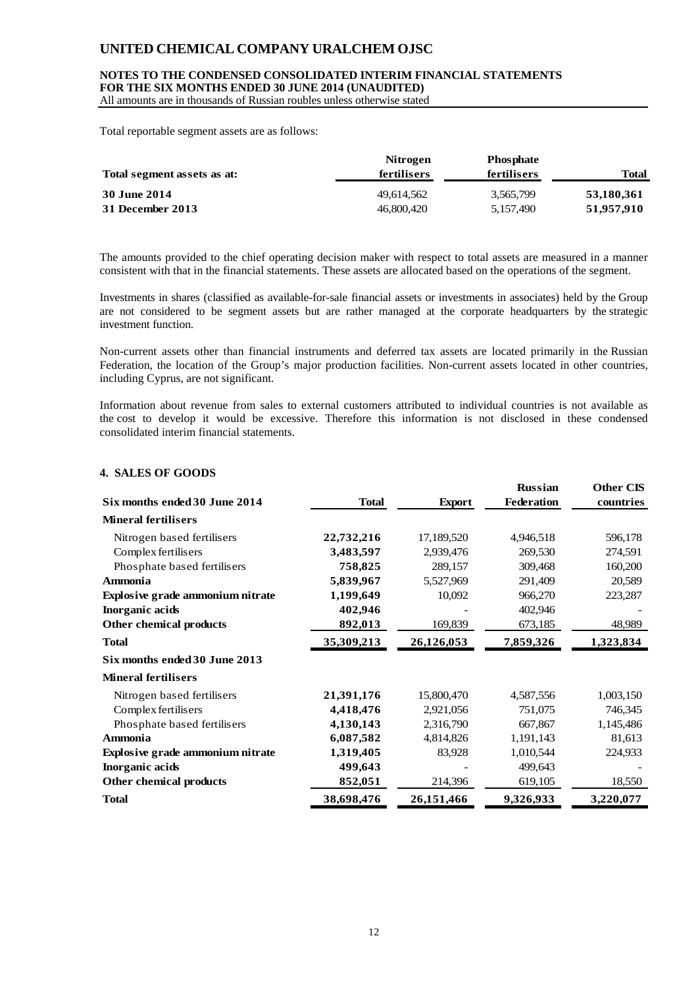#### **NOTES TO THE CONDENSED CONSOLIDATED INTERIM FINANCIAL STATEMENTS FOR THE SIX MONTHS ENDED 30 JUNE 2014 (UNAUDITED)**

All amounts are in thousands of Russian roubles unless otherwise stated

Total reportable segment assets are as follows:

| Total segment assets as at: | <b>Nitrogen</b><br>fertilisers | <b>Phosphate</b><br>fertilisers | <b>Total</b> |
|-----------------------------|--------------------------------|---------------------------------|--------------|
| 30 June 2014                | 49.614.562                     | 3,565,799                       | 53,180,361   |
| 31 December 2013            | 46,800,420                     | 5.157.490                       | 51,957,910   |

The amounts provided to the chief operating decision maker with respect to total assets are measured in a manner consistent with that in the financial statements. These assets are allocated based on the operations of the segment.

Investments in shares (classified as available-for-sale financial assets or investments in associates) held by the Group are not considered to be segment assets but are rather managed at the corporate headquarters by the strategic investment function.

Non-current assets other than financial instruments and deferred tax assets are located primarily in the Russian Federation, the location of the Group's major production facilities. Non-current assets located in other countries, including Cyprus, are not significant.

Information about revenue from sales to external customers attributed to individual countries is not available as the cost to develop it would be excessive. Therefore this information is not disclosed in these condensed consolidated interim financial statements.

## **4. SALES OF GOODS**

| Six months ended 30 June 2014           | <b>Total</b> | <b>Export</b> | <b>Russian</b><br><b>Federation</b> | <b>Other CIS</b><br>countries |
|-----------------------------------------|--------------|---------------|-------------------------------------|-------------------------------|
| <b>Mineral fertilisers</b>              |              |               |                                     |                               |
| Nitrogen based fertilisers              | 22,732,216   | 17,189,520    | 4,946,518                           | 596,178                       |
| Complex fertilisers                     | 3,483,597    | 2,939,476     | 269,530                             | 274,591                       |
| Phosphate based fertilisers             | 758,825      | 289,157       | 309,468                             | 160,200                       |
| <b>Ammonia</b>                          | 5,839,967    | 5,527,969     | 291,409                             | 20,589                        |
| <b>Explosive grade ammonium nitrate</b> | 1,199,649    | 10,092        | 966,270                             | 223,287                       |
| Inorganic acids                         | 402,946      |               | 402,946                             |                               |
| Other chemical products                 | 892,013      | 169,839       | 673,185                             | 48,989                        |
| <b>Total</b>                            | 35,309,213   | 26,126,053    | 7,859,326                           | 1,323,834                     |
| Six months ended 30 June 2013           |              |               |                                     |                               |
| <b>Mineral fertilisers</b>              |              |               |                                     |                               |
| Nitrogen based fertilisers              | 21,391,176   | 15,800,470    | 4,587,556                           | 1,003,150                     |
| Complex fertilisers                     | 4,418,476    | 2,921,056     | 751,075                             | 746,345                       |
| Phosphate based fertilisers             | 4,130,143    | 2,316,790     | 667,867                             | 1,145,486                     |
| <b>Ammonia</b>                          | 6,087,582    | 4,814,826     | 1,191,143                           | 81,613                        |
| <b>Explosive grade ammonium nitrate</b> | 1,319,405    | 83,928        | 1,010,544                           | 224,933                       |
| Inorganic acids                         | 499,643      |               | 499,643                             |                               |
| Other chemical products                 | 852,051      | 214,396       | 619,105                             | 18,550                        |
| <b>Total</b>                            | 38,698,476   | 26,151,466    | 9,326,933                           | 3,220,077                     |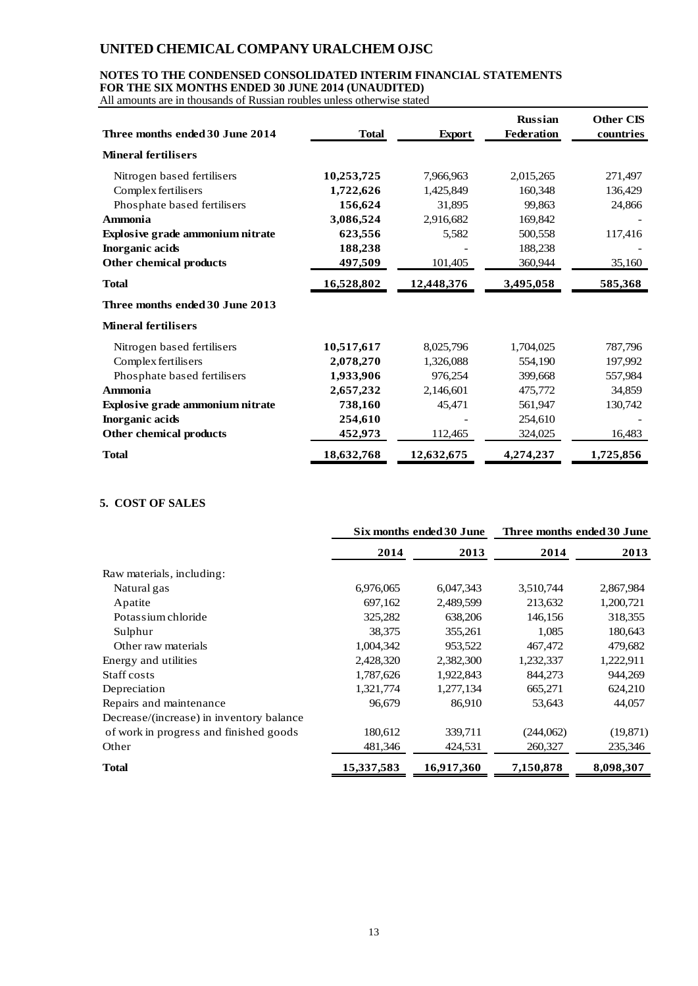## **NOTES TO THE CONDENSED CONSOLIDATED INTERIM FINANCIAL STATEMENTS FOR THE SIX MONTHS ENDED 30 JUNE 2014 (UNAUDITED)**

All amounts are in thousands of Russian roubles unless otherwise stated

| Three months ended 30 June 2014  | <b>Total</b> | <b>Export</b> | <b>Russian</b><br><b>Federation</b> | <b>Other CIS</b><br>countries |
|----------------------------------|--------------|---------------|-------------------------------------|-------------------------------|
| <b>Mineral fertilisers</b>       |              |               |                                     |                               |
| Nitrogen based fertilisers       | 10,253,725   | 7,966,963     | 2,015,265                           | 271,497                       |
| Complex fertilisers              | 1,722,626    | 1,425,849     | 160,348                             | 136,429                       |
| Phosphate based fertilisers      | 156,624      | 31,895        | 99.863                              | 24,866                        |
| Ammonia                          | 3,086,524    | 2,916,682     | 169,842                             |                               |
| Explosive grade ammonium nitrate | 623,556      | 5,582         | 500,558                             | 117,416                       |
| Inorganic acids                  | 188,238      |               | 188,238                             |                               |
| Other chemical products          | 497,509      | 101,405       | 360,944                             | 35,160                        |
| <b>Total</b>                     | 16,528,802   | 12,448,376    | 3,495,058                           | 585,368                       |
| Three months ended 30 June 2013  |              |               |                                     |                               |
| <b>Mineral fertilisers</b>       |              |               |                                     |                               |
| Nitrogen based fertilisers       | 10,517,617   | 8,025,796     | 1,704,025                           | 787,796                       |
| Complex fertilisers              | 2,078,270    | 1,326,088     | 554,190                             | 197,992                       |
| Phosphate based fertilisers      | 1,933,906    | 976,254       | 399,668                             | 557,984                       |
| <b>Ammonia</b>                   | 2,657,232    | 2,146,601     | 475,772                             | 34,859                        |
| Explosive grade ammonium nitrate | 738,160      | 45,471        | 561,947                             | 130,742                       |
| Inorganic acids                  | 254,610      |               | 254,610                             |                               |
| Other chemical products          | 452,973      | 112,465       | 324,025                             | 16,483                        |
| <b>Total</b>                     | 18,632,768   | 12,632,675    | 4,274,237                           | 1,725,856                     |

## **5. COST OF SALES**

|                                          | Six months ended 30 June |            | Three months ended 30 June |           |  |
|------------------------------------------|--------------------------|------------|----------------------------|-----------|--|
|                                          | 2014                     | 2013       | 2014                       | 2013      |  |
| Raw materials, including:                |                          |            |                            |           |  |
| Natural gas                              | 6,976,065                | 6,047,343  | 3,510,744                  | 2,867,984 |  |
| Apatite                                  | 697,162                  | 2,489,599  | 213,632                    | 1,200,721 |  |
| Potassium chloride                       | 325,282                  | 638,206    | 146,156                    | 318,355   |  |
| Sulphur                                  | 38,375                   | 355,261    | 1,085                      | 180,643   |  |
| Other raw materials                      | 1,004,342                | 953,522    | 467,472                    | 479,682   |  |
| Energy and utilities                     | 2,428,320                | 2,382,300  | 1,232,337                  | 1,222,911 |  |
| Staff costs                              | 1,787,626                | 1,922,843  | 844,273                    | 944,269   |  |
| Depreciation                             | 1,321,774                | 1,277,134  | 665,271                    | 624,210   |  |
| Repairs and maintenance                  | 96,679                   | 86,910     | 53,643                     | 44,057    |  |
| Decrease/(increase) in inventory balance |                          |            |                            |           |  |
| of work in progress and finished goods   | 180,612                  | 339,711    | (244,062)                  | (19, 871) |  |
| Other                                    | 481,346                  | 424,531    | 260,327                    | 235,346   |  |
| <b>Total</b>                             | 15,337,583               | 16,917,360 | 7,150,878                  | 8,098,307 |  |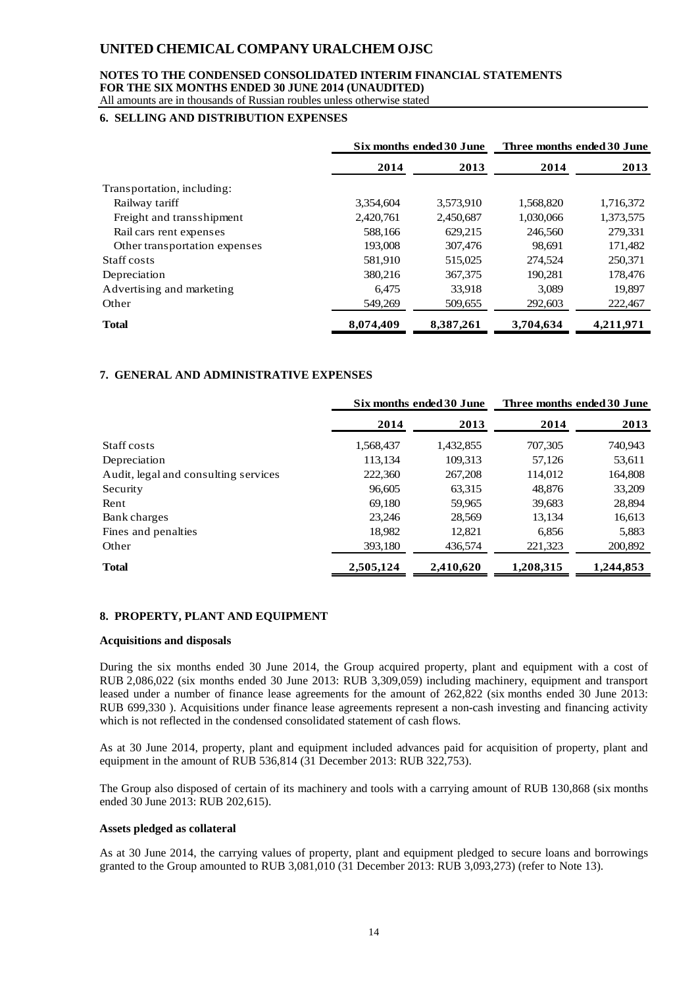## **NOTES TO THE CONDENSED CONSOLIDATED INTERIM FINANCIAL STATEMENTS FOR THE SIX MONTHS ENDED 30 JUNE 2014 (UNAUDITED)**

All amounts are in thousands of Russian roubles unless otherwise stated

## **6. SELLING AND DISTRIBUTION EXPENSES**

|                               | Six months ended 30 June |           | Three months ended 30 June |           |
|-------------------------------|--------------------------|-----------|----------------------------|-----------|
|                               | 2014                     | 2013      | 2014                       | 2013      |
| Transportation, including:    |                          |           |                            |           |
| Railway tariff                | 3,354,604                | 3,573,910 | 1,568,820                  | 1,716,372 |
| Freight and transshipment     | 2,420,761                | 2,450,687 | 1,030,066                  | 1,373,575 |
| Rail cars rent expenses       | 588,166                  | 629,215   | 246,560                    | 279,331   |
| Other transportation expenses | 193,008                  | 307,476   | 98.691                     | 171,482   |
| Staff costs                   | 581,910                  | 515,025   | 274,524                    | 250,371   |
| Depreciation                  | 380,216                  | 367,375   | 190.281                    | 178,476   |
| Advertising and marketing     | 6.475                    | 33,918    | 3,089                      | 19,897    |
| Other                         | 549,269                  | 509.655   | 292,603                    | 222,467   |
| <b>Total</b>                  | 8,074,409                | 8,387,261 | 3,704,634                  | 4,211,971 |

## **7. GENERAL AND ADMINISTRATIVE EXPENSES**

|                                      | Six months ended 30 June |           | Three months ended 30 June |           |
|--------------------------------------|--------------------------|-----------|----------------------------|-----------|
|                                      | 2014                     | 2013      | 2014                       | 2013      |
| Staff costs                          | 1,568,437                | 1,432,855 | 707,305                    | 740,943   |
| Depreciation                         | 113,134                  | 109,313   | 57,126                     | 53,611    |
| Audit, legal and consulting services | 222,360                  | 267,208   | 114,012                    | 164,808   |
| Security                             | 96,605                   | 63,315    | 48,876                     | 33,209    |
| Rent                                 | 69,180                   | 59,965    | 39,683                     | 28,894    |
| Bank charges                         | 23,246                   | 28,569    | 13,134                     | 16,613    |
| Fines and penalties                  | 18,982                   | 12,821    | 6,856                      | 5,883     |
| Other                                | 393,180                  | 436,574   | 221,323                    | 200,892   |
| <b>Total</b>                         | 2,505,124                | 2,410,620 | 1,208,315                  | 1,244,853 |

## **8. PROPERTY, PLANT AND EQUIPMENT**

#### **Acquisitions and disposals**

During the six months ended 30 June 2014, the Group acquired property, plant and equipment with a cost of RUB 2,086,022 (six months ended 30 June 2013: RUB 3,309,059) including machinery, equipment and transport leased under a number of finance lease agreements for the amount of 262,822 (six months ended 30 June 2013: RUB 699,330 ). Acquisitions under finance lease agreements represent a non-cash investing and financing activity which is not reflected in the condensed consolidated statement of cash flows.

As at 30 June 2014, property, plant and equipment included advances paid for acquisition of property, plant and equipment in the amount of RUB 536,814 (31 December 2013: RUB 322,753).

The Group also disposed of certain of its machinery and tools with a carrying amount of RUB 130,868 (six months ended 30 June 2013: RUB 202,615).

#### **Assets pledged as collateral**

As at 30 June 2014, the carrying values of property, plant and equipment pledged to secure loans and borrowings granted to the Group amounted to RUB 3,081,010 (31 December 2013: RUB 3,093,273) (refer to Note 13).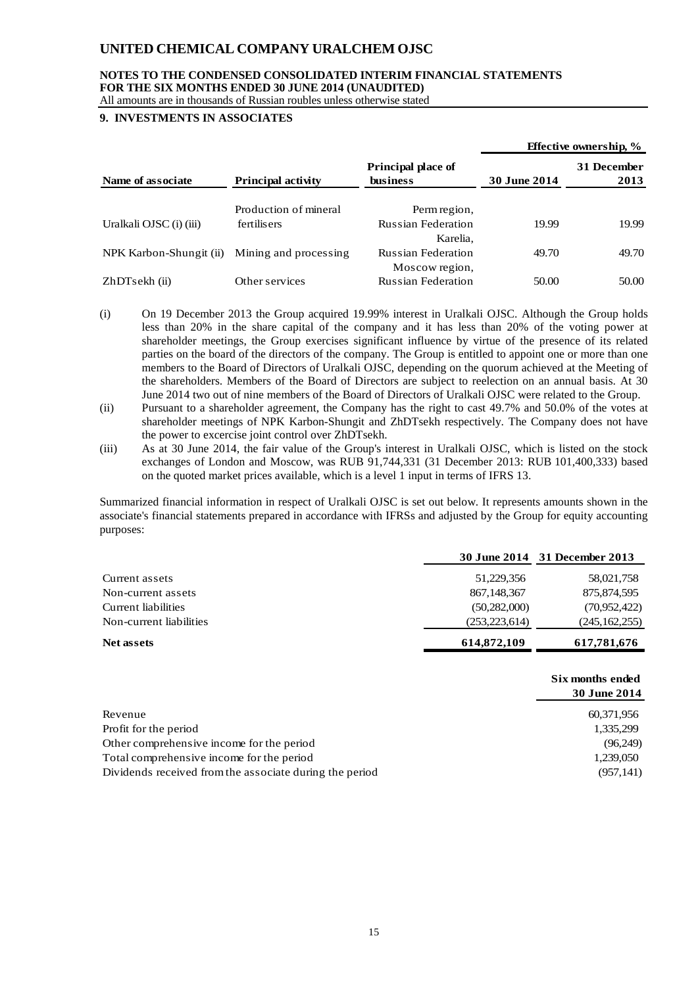## **NOTES TO THE CONDENSED CONSOLIDATED INTERIM FINANCIAL STATEMENTS FOR THE SIX MONTHS ENDED 30 JUNE 2014 (UNAUDITED)**

All amounts are in thousands of Russian roubles unless otherwise stated

## **9. INVESTMENTS IN ASSOCIATES**

|                         |                           |                                              |                     | <b>Effective ownership,</b> $\%$ |
|-------------------------|---------------------------|----------------------------------------------|---------------------|----------------------------------|
| Name of associate       | <b>Principal activity</b> | <b>Principal place of</b><br><b>business</b> | <b>30 June 2014</b> | 31 December<br>2013              |
|                         | Production of mineral     | Perm region,                                 |                     |                                  |
| Uralkali OJSC (i) (iii) | fertilisers               | <b>Russian Federation</b><br>Karelia.        | 19.99               | 19.99                            |
| NPK Karbon-Shungit (ii) | Mining and processing     | <b>Russian Federation</b><br>Moscow region,  | 49.70               | 49.70                            |
| ZhDTsekh (ii)           | Other services            | <b>Russian Federation</b>                    | 50.00               | 50.00                            |

- (i) On 19 December 2013 the Group acquired 19.99% interest in Uralkali OJSC. Although the Group holds less than 20% in the share capital of the company and it has less than 20% of the voting power at shareholder meetings, the Group exercises significant influence by virtue of the presence of its related parties on the board of the directors of the company. The Group is entitled to appoint one or more than one members to the Board of Directors of Uralkali OJSC, depending on the quorum achieved at the Meeting of the shareholders. Members of the Board of Directors are subject to reelection on an annual basis. At 30 June 2014 two out of nine members of the Board of Directors of Uralkali OJSC were related to the Group.
- (ii) Pursuant to a shareholder agreement, the Company has the right to cast 49.7% and 50.0% of the votes at shareholder meetings of NPK Karbon-Shungit and ZhDTsekh respectively. The Company does not have the power to excercise joint control over ZhDTsekh.
- (iii) As at 30 June 2014, the fair value of the Group's interest in Uralkali OJSC, which is listed on the stock exchanges of London and Moscow, was RUB 91,744,331 (31 December 2013: RUB 101,400,333) based on the quoted market prices available, which is a level 1 input in terms of IFRS 13.

Summarized financial information in respect of Uralkali OJSC is set out below. It represents amounts shown in the associate's financial statements prepared in accordance with IFRSs and adjusted by the Group for equity accounting purposes:

|                         | <b>30 June 2014</b> | 31 December 2013 |
|-------------------------|---------------------|------------------|
| Current assets          | 51,229,356          | 58,021,758       |
| Non-current assets      | 867, 148, 367       | 875,874,595      |
| Current liabilities     | (50, 282, 000)      | (70,952,422)     |
| Non-current liabilities | (253, 223, 614)     | (245, 162, 255)  |
| <b>Net assets</b>       | 614,872,109         | 617,781,676      |
|                         |                     | Six months ended |

|                                                         | 30 June 2014 |
|---------------------------------------------------------|--------------|
| Revenue                                                 | 60,371,956   |
| Profit for the period                                   | 1,335,299    |
| Other comprehensive income for the period               | (96,249)     |
| Total comprehensive income for the period               | 1,239,050    |
| Dividends received from the associate during the period | (957, 141)   |
|                                                         |              |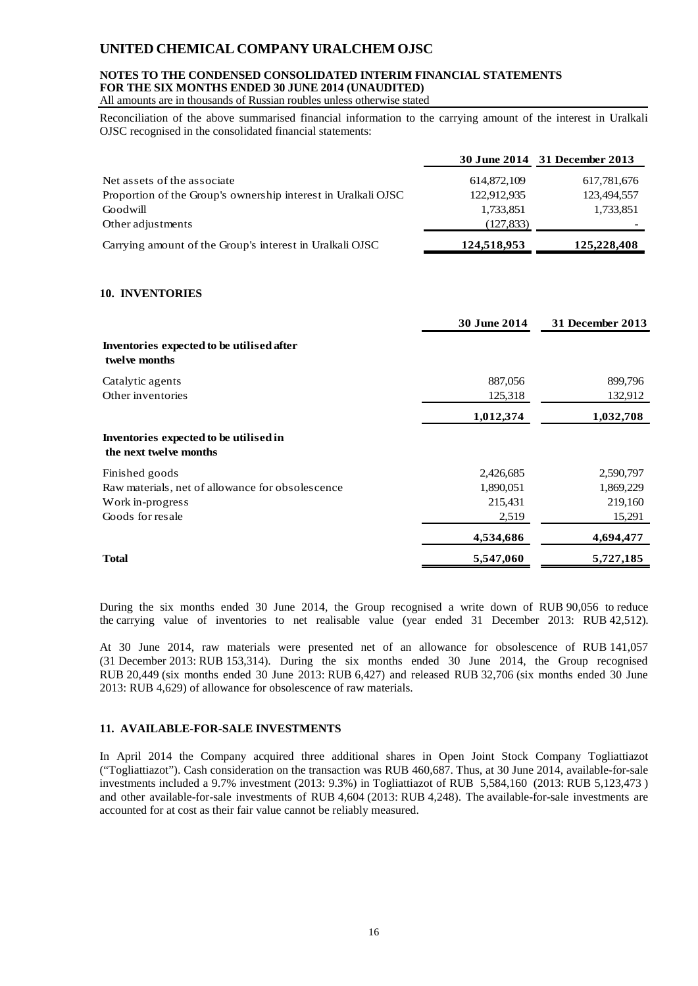## **NOTES TO THE CONDENSED CONSOLIDATED INTERIM FINANCIAL STATEMENTS FOR THE SIX MONTHS ENDED 30 JUNE 2014 (UNAUDITED)**

All amounts are in thousands of Russian roubles unless otherwise stated

Reconciliation of the above summarised financial information to the carrying amount of the interest in Uralkali OJSC recognised in the consolidated financial statements:

|                                                               |             | 30 June 2014 31 December 2013 |
|---------------------------------------------------------------|-------------|-------------------------------|
| Net assets of the associate                                   | 614,872,109 | 617,781,676                   |
| Proportion of the Group's ownership interest in Uralkali OJSC | 122,912,935 | 123,494,557                   |
| Goodwill                                                      | 1,733,851   | 1,733,851                     |
| Other adjustments                                             | (127, 833)  |                               |
| Carrying amount of the Group's interest in Uralkali OJSC      | 124,518,953 | 125,228,408                   |

## **10. INVENTORIES**

|                                                                  | <b>30 June 2014</b> | <b>31 December 2013</b> |
|------------------------------------------------------------------|---------------------|-------------------------|
| Inventories expected to be utilised after<br>twelve months       |                     |                         |
| Catalytic agents                                                 | 887,056             | 899,796                 |
| Other inventories                                                | 125,318             | 132,912                 |
|                                                                  | 1,012,374           | 1,032,708               |
| Inventories expected to be utilised in<br>the next twelve months |                     |                         |
| Finished goods                                                   | 2,426,685           | 2,590,797               |
| Raw materials, net of allowance for obsolescence                 | 1,890,051           | 1,869,229               |
| Work in-progress                                                 | 215,431             | 219,160                 |
| Goods for resale                                                 | 2,519               | 15,291                  |
|                                                                  | 4,534,686           | 4,694,477               |
| <b>Total</b>                                                     | 5,547,060           | 5,727,185               |

During the six months ended 30 June 2014, the Group recognised a write down of RUB 90,056 to reduce the carrying value of inventories to net realisable value (year ended 31 December 2013: RUB 42,512).

At 30 June 2014, raw materials were presented net of an allowance for obsolescence of RUB 141,057 (31 December 2013: RUB 153,314). During the six months ended 30 June 2014, the Group recognised RUB 20,449 (six months ended 30 June 2013: RUB 6,427) and released RUB 32,706 (six months ended 30 June 2013: RUB 4,629) of allowance for obsolescence of raw materials.

## **11. AVAILABLE-FOR-SALE INVESTMENTS**

In April 2014 the Company acquired three additional shares in Open Joint Stock Company Togliattiazot ("Togliattiazot"). Cash consideration on the transaction was RUB 460,687. Thus, at 30 June 2014, available-for-sale investments included a 9.7% investment (2013: 9.3%) in Togliattiazot of RUB 5,584,160 (2013: RUB 5,123,473 ) and other available-for-sale investments of RUB 4,604 (2013: RUB 4,248). The available-for-sale investments are accounted for at cost as their fair value cannot be reliably measured.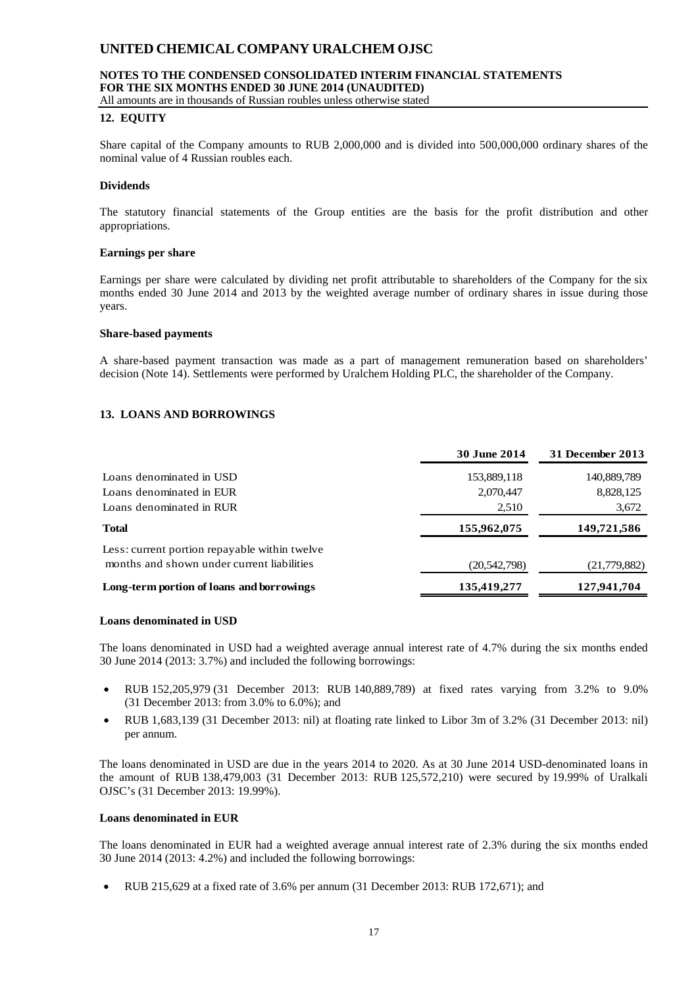## **NOTES TO THE CONDENSED CONSOLIDATED INTERIM FINANCIAL STATEMENTS FOR THE SIX MONTHS ENDED 30 JUNE 2014 (UNAUDITED)**

All amounts are in thousands of Russian roubles unless otherwise stated

#### **12. EQUITY**

Share capital of the Company amounts to RUB 2,000,000 and is divided into 500,000,000 ordinary shares of the nominal value of 4 Russian roubles each.

#### **Dividends**

The statutory financial statements of the Group entities are the basis for the profit distribution and other appropriations.

#### **Earnings per share**

Earnings per share were calculated by dividing net profit attributable to shareholders of the Company for the six months ended 30 June 2014 and 2013 by the weighted average number of ordinary shares in issue during those years.

#### **Share-based payments**

A share-based payment transaction was made as a part of management remuneration based on shareholders' decision (Note 14). Settlements were performed by Uralchem Holding PLC, the shareholder of the Company.

## **13. LOANS AND BORROWINGS**

|                                                                                             | <b>30 June 2014</b> | 31 December 2013 |
|---------------------------------------------------------------------------------------------|---------------------|------------------|
| Loans denominated in USD                                                                    | 153,889,118         | 140,889,789      |
| Loans denominated in EUR                                                                    | 2,070,447           | 8,828,125        |
| Loans denominated in RUR                                                                    | 2,510               | 3,672            |
| <b>Total</b>                                                                                | 155,962,075         | 149,721,586      |
| Less: current portion repayable within twelve<br>months and shown under current liabilities | (20, 542, 798)      | (21, 779, 882)   |
| Long-term portion of loans and borrowings                                                   | 135,419,277         | 127,941,704      |
|                                                                                             |                     |                  |

#### **Loans denominated in USD**

The loans denominated in USD had a weighted average annual interest rate of 4.7% during the six months ended 30 June 2014 (2013: 3.7%) and included the following borrowings:

- RUB 152,205,979 (31 December 2013: RUB 140,889,789) at fixed rates varying from 3.2% to 9.0% (31 December 2013: from 3.0% to 6.0%); and
- RUB 1,683,139 (31 December 2013: nil) at floating rate linked to Libor 3m of 3.2% (31 December 2013: nil) per annum.

The loans denominated in USD are due in the years 2014 to 2020. As at 30 June 2014 USD-denominated loans in the amount of RUB 138,479,003 (31 December 2013: RUB 125,572,210) were secured by 19.99% of Uralkali OJSC's (31 December 2013: 19.99%).

#### **Loans denominated in EUR**

The loans denominated in EUR had a weighted average annual interest rate of 2.3% during the six months ended 30 June 2014 (2013: 4.2%) and included the following borrowings:

• RUB 215,629 at a fixed rate of 3.6% per annum (31 December 2013: RUB 172,671); and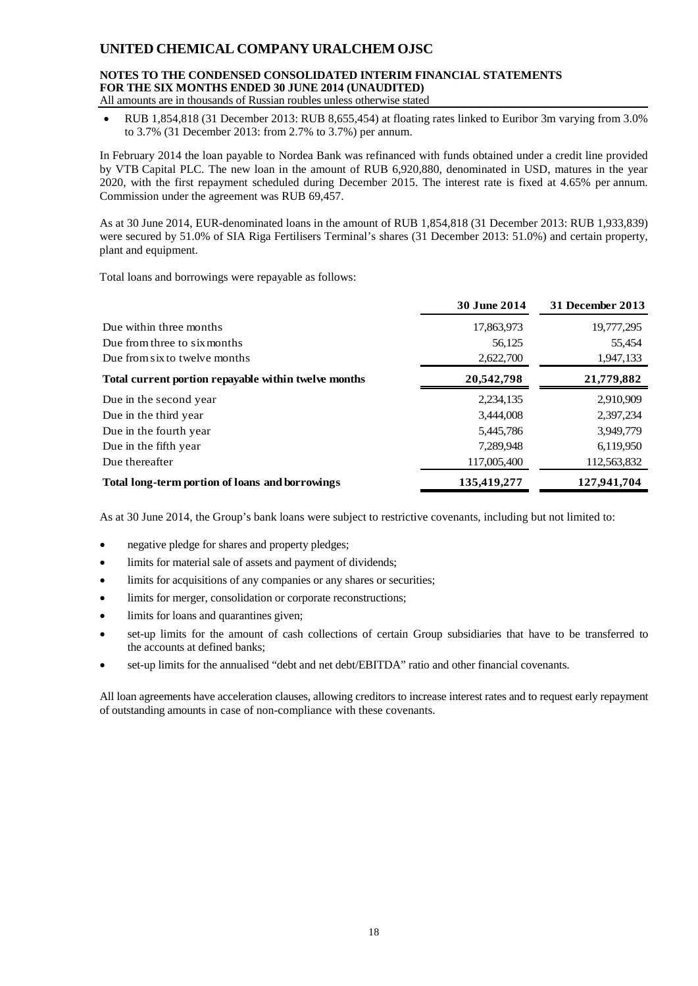#### **NOTES TO THE CONDENSED CONSOLIDATED INTERIM FINANCIAL STATEMENTS FOR THE SIX MONTHS ENDED 30 JUNE 2014 (UNAUDITED)** All amounts are in thousands of Russian roubles unless otherwise stated

• RUB 1,854,818 (31 December 2013: RUB 8,655,454) at floating rates linked to Euribor 3m varying from 3.0% to 3.7% (31 December 2013: from 2.7% to 3.7%) per annum.

In February 2014 the loan payable to Nordea Bank was refinanced with funds obtained under a credit line provided by VTB Capital PLC. The new loan in the amount of RUB 6,920,880, denominated in USD, matures in the year 2020, with the first repayment scheduled during December 2015. The interest rate is fixed at 4.65% per annum. Commission under the agreement was RUB 69,457.

As at 30 June 2014, EUR-denominated loans in the amount of RUB 1,854,818 (31 December 2013: RUB 1,933,839) were secured by 51.0% of SIA Riga Fertilisers Terminal's shares (31 December 2013: 51.0%) and certain property, plant and equipment.

Total loans and borrowings were repayable as follows:

|                                                      | <b>30 June 2014</b> | 31 December 2013 |
|------------------------------------------------------|---------------------|------------------|
| Due within three months                              | 17,863,973          | 19,777,295       |
| Due from three to six months                         | 56,125              | 55,454           |
| Due from six to twelve months                        | 2,622,700           | 1,947,133        |
| Total current portion repayable within twelve months | 20,542,798          | 21,779,882       |
| Due in the second year                               | 2,234,135           | 2,910,909        |
| Due in the third year                                | 3,444,008           | 2,397,234        |
| Due in the fourth year                               | 5,445,786           | 3,949,779        |
| Due in the fifth year                                | 7,289,948           | 6,119,950        |
| Due thereafter                                       | 117,005,400         | 112,563,832      |
| Total long-term portion of loans and borrowings      | 135,419,277         | 127,941,704      |

As at 30 June 2014, the Group's bank loans were subject to restrictive covenants, including but not limited to:

- negative pledge for shares and property pledges;
- limits for material sale of assets and payment of dividends;
- limits for acquisitions of any companies or any shares or securities;
- limits for merger, consolidation or corporate reconstructions;
- limits for loans and quarantines given;
- set-up limits for the amount of cash collections of certain Group subsidiaries that have to be transferred to the accounts at defined banks;
- set-up limits for the annualised "debt and net debt/EBITDA" ratio and other financial covenants.

All loan agreements have acceleration clauses, allowing creditors to increase interest rates and to request early repayment of outstanding amounts in case of non-compliance with these covenants.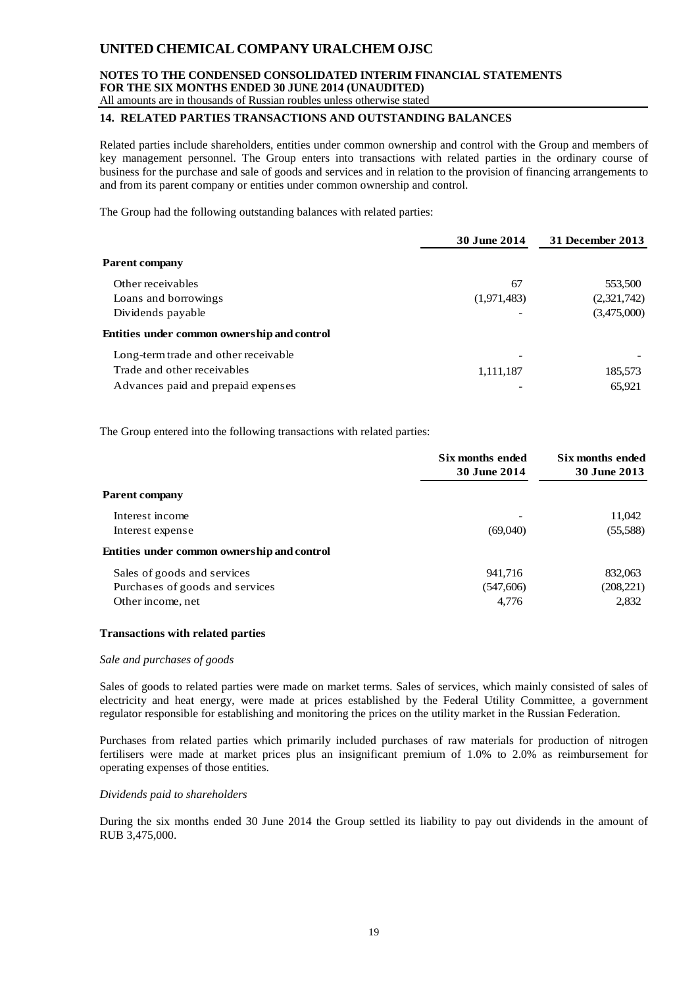## **NOTES TO THE CONDENSED CONSOLIDATED INTERIM FINANCIAL STATEMENTS FOR THE SIX MONTHS ENDED 30 JUNE 2014 (UNAUDITED)**

## All amounts are in thousands of Russian roubles unless otherwise stated

## **14. RELATED PARTIES TRANSACTIONS AND OUTSTANDING BALANCES**

Related parties include shareholders, entities under common ownership and control with the Group and members of key management personnel. The Group enters into transactions with related parties in the ordinary course of business for the purchase and sale of goods and services and in relation to the provision of financing arrangements to and from its parent company or entities under common ownership and control.

The Group had the following outstanding balances with related parties:

|                                             | <b>30 June 2014</b> | 31 December 2013 |
|---------------------------------------------|---------------------|------------------|
| <b>Parent company</b>                       |                     |                  |
| Other receivables                           | 67                  | 553,500          |
| Loans and borrowings                        | (1,971,483)         | (2,321,742)      |
| Dividends payable                           |                     | (3,475,000)      |
| Entities under common ownership and control |                     |                  |
| Long-term trade and other receivable        |                     |                  |
| Trade and other receivables                 | 1,111,187           | 185,573          |
| Advances paid and prepaid expenses          |                     | 65.921           |

The Group entered into the following transactions with related parties:

|                                             | Six months ended<br><b>30 June 2014</b> | Six months ended<br><b>30 June 2013</b> |
|---------------------------------------------|-----------------------------------------|-----------------------------------------|
| <b>Parent company</b>                       |                                         |                                         |
| Interest income                             |                                         | 11,042                                  |
| Interest expense                            | (69,040)                                | (55,588)                                |
| Entities under common ownership and control |                                         |                                         |
| Sales of goods and services                 | 941.716                                 | 832,063                                 |
| Purchases of goods and services             | (547,606)                               | (208, 221)                              |
| Other income, net                           | 4,776                                   | 2,832                                   |

## **Transactions with related parties**

#### *Sale and purchases of goods*

Sales of goods to related parties were made on market terms. Sales of services, which mainly consisted of sales of electricity and heat energy, were made at prices established by the Federal Utility Committee, a government regulator responsible for establishing and monitoring the prices on the utility market in the Russian Federation.

Purchases from related parties which primarily included purchases of raw materials for production of nitrogen fertilisers were made at market prices plus an insignificant premium of 1.0% to 2.0% as reimbursement for operating expenses of those entities.

#### *Dividends paid to shareholders*

During the six months ended 30 June 2014 the Group settled its liability to pay out dividends in the amount of RUB 3,475,000.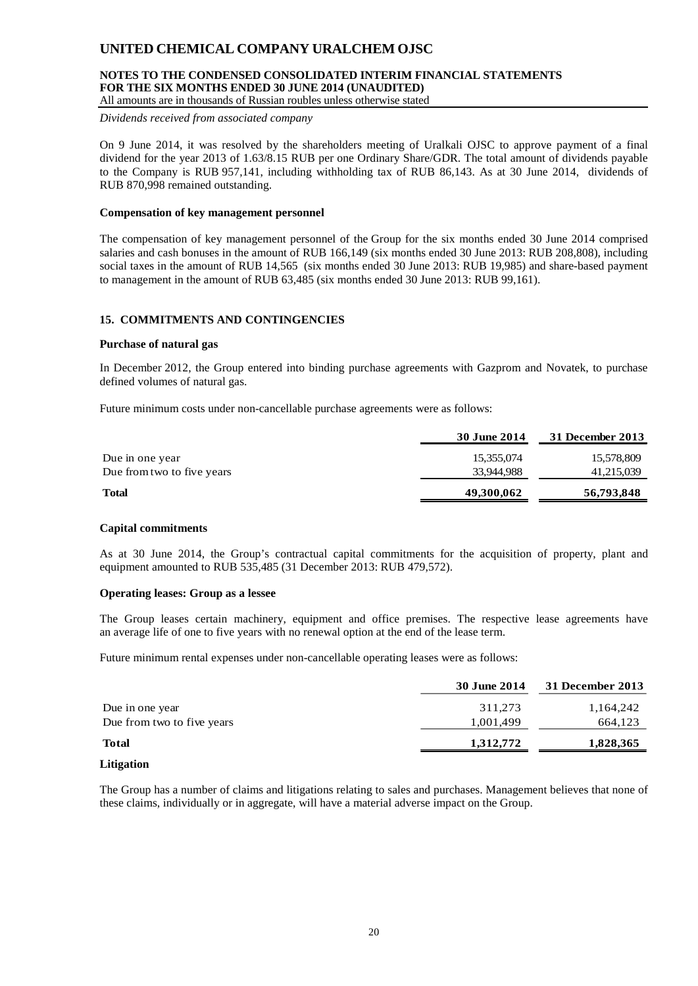## **NOTES TO THE CONDENSED CONSOLIDATED INTERIM FINANCIAL STATEMENTS FOR THE SIX MONTHS ENDED 30 JUNE 2014 (UNAUDITED)**

All amounts are in thousands of Russian roubles unless otherwise stated

*Dividends received from associated company*

On 9 June 2014, it was resolved by the shareholders meeting of Uralkali OJSC to approve payment of a final dividend for the year 2013 of 1.63/8.15 RUB per one Ordinary Share/GDR. The total amount of dividends payable to the Company is RUB 957,141, including withholding tax of RUB 86,143. As at 30 June 2014, dividends of RUB 870,998 remained outstanding.

#### **Compensation of key management personnel**

The compensation of key management personnel of the Group for the six months ended 30 June 2014 comprised salaries and cash bonuses in the amount of RUB 166,149 (six months ended 30 June 2013: RUB 208,808), including social taxes in the amount of RUB 14,565 (six months ended 30 June 2013: RUB 19,985) and share-based payment to management in the amount of RUB 63,485 (six months ended 30 June 2013: RUB 99,161).

## **15. COMMITMENTS AND CONTINGENCIES**

#### **Purchase of natural gas**

In December 2012, the Group entered into binding purchase agreements with Gazprom and Novatek, to purchase defined volumes of natural gas.

Future minimum costs under non-cancellable purchase agreements were as follows:

|                            | <b>30 June 2014</b> | 31 December 2013 |
|----------------------------|---------------------|------------------|
| Due in one year            | 15,355,074          | 15,578,809       |
| Due from two to five years | 33.944.988          | 41,215,039       |
| <b>Total</b>               | 49,300,062          | 56,793,848       |

## **Capital commitments**

As at 30 June 2014, the Group's contractual capital commitments for the acquisition of property, plant and equipment amounted to RUB 535,485 (31 December 2013: RUB 479,572).

#### **Operating leases: Group as a lessee**

The Group leases certain machinery, equipment and office premises. The respective lease agreements have an average life of one to five years with no renewal option at the end of the lease term.

Future minimum rental expenses under non-cancellable operating leases were as follows:

|                            | 30 June 2014 | 31 December 2013 |
|----------------------------|--------------|------------------|
| Due in one year            | 311,273      | 1,164,242        |
| Due from two to five years | 1,001,499    | 664,123          |
| <b>Total</b>               | 1,312,772    | 1,828,365        |
|                            |              |                  |

#### **Litigation**

The Group has a number of claims and litigations relating to sales and purchases. Management believes that none of these claims, individually or in aggregate, will have a material adverse impact on the Group.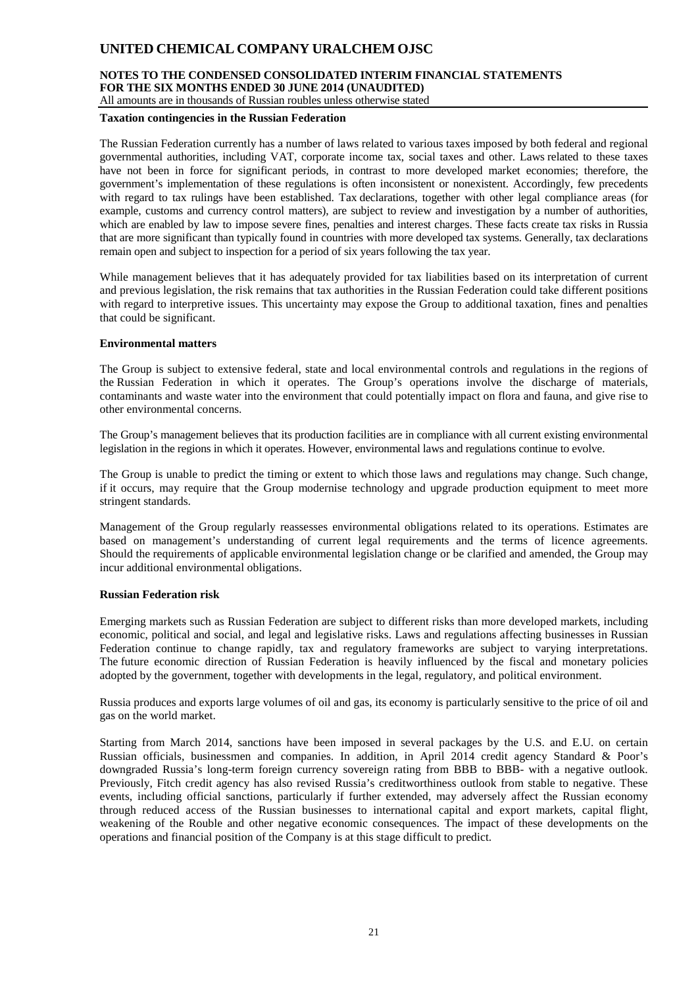## **NOTES TO THE CONDENSED CONSOLIDATED INTERIM FINANCIAL STATEMENTS FOR THE SIX MONTHS ENDED 30 JUNE 2014 (UNAUDITED)**

All amounts are in thousands of Russian roubles unless otherwise stated

#### **Taxation contingencies in the Russian Federation**

The Russian Federation currently has a number of laws related to various taxes imposed by both federal and regional governmental authorities, including VAT, corporate income tax, social taxes and other. Laws related to these taxes have not been in force for significant periods, in contrast to more developed market economies; therefore, the government's implementation of these regulations is often inconsistent or nonexistent. Accordingly, few precedents with regard to tax rulings have been established. Tax declarations, together with other legal compliance areas (for example, customs and currency control matters), are subject to review and investigation by a number of authorities, which are enabled by law to impose severe fines, penalties and interest charges. These facts create tax risks in Russia that are more significant than typically found in countries with more developed tax systems. Generally, tax declarations remain open and subject to inspection for a period of six years following the tax year.

While management believes that it has adequately provided for tax liabilities based on its interpretation of current and previous legislation, the risk remains that tax authorities in the Russian Federation could take different positions with regard to interpretive issues. This uncertainty may expose the Group to additional taxation, fines and penalties that could be significant.

#### **Environmental matters**

The Group is subject to extensive federal, state and local environmental controls and regulations in the regions of the Russian Federation in which it operates. The Group's operations involve the discharge of materials, contaminants and waste water into the environment that could potentially impact on flora and fauna, and give rise to other environmental concerns.

The Group's management believes that its production facilities are in compliance with all current existing environmental legislation in the regions in which it operates. However, environmental laws and regulations continue to evolve.

The Group is unable to predict the timing or extent to which those laws and regulations may change. Such change, if it occurs, may require that the Group modernise technology and upgrade production equipment to meet more stringent standards.

Management of the Group regularly reassesses environmental obligations related to its operations. Estimates are based on management's understanding of current legal requirements and the terms of licence agreements. Should the requirements of applicable environmental legislation change or be clarified and amended, the Group may incur additional environmental obligations.

## **Russian Federation risk**

Emerging markets such as Russian Federation are subject to different risks than more developed markets, including economic, political and social, and legal and legislative risks. Laws and regulations affecting businesses in Russian Federation continue to change rapidly, tax and regulatory frameworks are subject to varying interpretations. The future economic direction of Russian Federation is heavily influenced by the fiscal and monetary policies adopted by the government, together with developments in the legal, regulatory, and political environment.

Russia produces and exports large volumes of oil and gas, its economy is particularly sensitive to the price of oil and gas on the world market.

Starting from March 2014, sanctions have been imposed in several packages by the U.S. and E.U. on certain Russian officials, businessmen and companies. In addition, in April 2014 credit agency Standard & Poor's downgraded Russia's long-term foreign currency sovereign rating from BBB to BBB- with a negative outlook. Previously, Fitch credit agency has also revised Russia's creditworthiness outlook from stable to negative. These events, including official sanctions, particularly if further extended, may adversely affect the Russian economy through reduced access of the Russian businesses to international capital and export markets, capital flight, weakening of the Rouble and other negative economic consequences. The impact of these developments on the operations and financial position of the Company is at this stage difficult to predict.